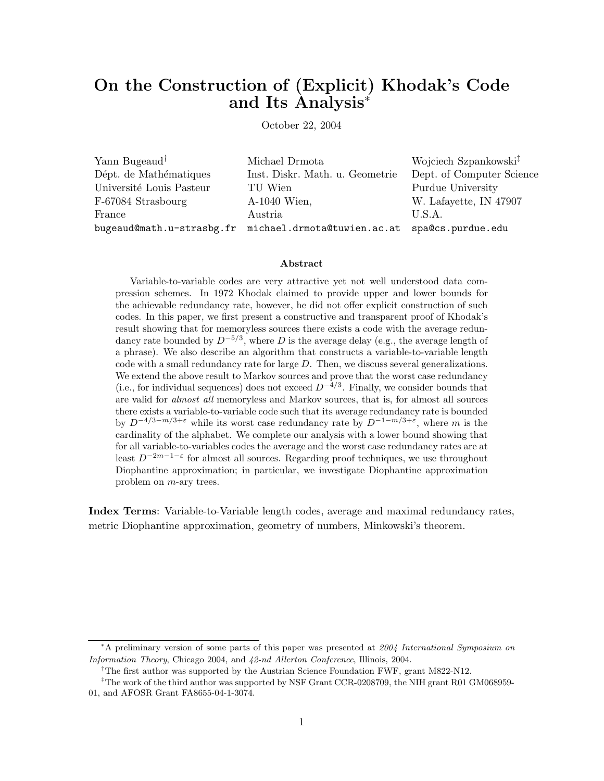# **On the Construction of (Explicit) Khodak's Code and Its Analysis**<sup>∗</sup>

October 22, 2004

Yann Bugeaud† Michael Drmota Wojciech Szpankowski‡ Dépt. de Mathématiques Inst. Diskr. Math. u. Geometrie Dept. of Computer Science Université Louis Pasteur TU Wien Purdue University F-67084 Strasbourg A-1040 Wien, W. Lafayette, IN 47907 France Austria  $\qquad \qquad$  U.S.A. bugeaud@math.u-strasbg.fr michael.drmota@tuwien.ac.at spa@cs.purdue.edu

#### **Abstract**

Variable-to-variable codes are very attractive yet not well understood data compression schemes. In 1972 Khodak claimed to provide upper and lower bounds for the achievable redundancy rate, however, he did not offer explicit construction of such codes. In this paper, we first present a constructive and transparent proof of Khodak's result showing that for memoryless sources there exists a code with the average redundancy rate bounded by  $D^{-5/3}$ , where D is the average delay (e.g., the average length of a phrase). We also describe an algorithm that constructs a variable-to-variable length code with a small redundancy rate for large D. Then, we discuss several generalizations. We extend the above result to Markov sources and prove that the worst case redundancy (i.e., for individual sequences) does not exceed  $D^{-4/3}$ . Finally, we consider bounds that are valid for *almost all* memoryless and Markov sources, that is, for almost all sources there exists a variable-to-variable code such that its average redundancy rate is bounded by  $D^{-4/3-m/3+\epsilon}$  while its worst case redundancy rate by  $D^{-1-m/3+\epsilon}$ , where m is the cardinality of the alphabet. We complete our analysis with a lower bound showing that for all variable-to-variables codes the average and the worst case redundancy rates are at least  $D^{-2m-1-\epsilon}$  for almost all sources. Regarding proof techniques, we use throughout Diophantine approximation; in particular, we investigate Diophantine approximation problem on m-ary trees.

**Index Terms**: Variable-to-Variable length codes, average and maximal redundancy rates, metric Diophantine approximation, geometry of numbers, Minkowski's theorem.

<sup>∗</sup>A preliminary version of some parts of this paper was presented at 2004 International Symposium on Information Theory, Chicago 2004, and 42-nd Allerton Conference, Illinois, 2004.

<sup>&</sup>lt;sup>†</sup>The first author was supported by the Austrian Science Foundation FWF, grant M822-N12.

<sup>&</sup>lt;sup>‡</sup>The work of the third author was supported by NSF Grant CCR-0208709, the NIH grant R01 GM068959-01, and AFOSR Grant FA8655-04-1-3074.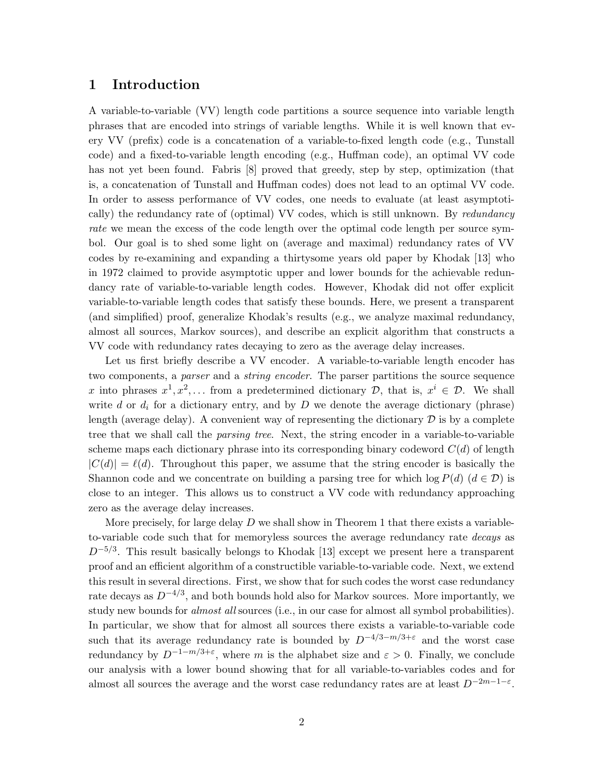## **1 Introduction**

A variable-to-variable (VV) length code partitions a source sequence into variable length phrases that are encoded into strings of variable lengths. While it is well known that every VV (prefix) code is a concatenation of a variable-to-fixed length code (e.g., Tunstall code) and a fixed-to-variable length encoding (e.g., Huffman code), an optimal VV code has not yet been found. Fabris [8] proved that greedy, step by step, optimization (that is, a concatenation of Tunstall and Huffman codes) does not lead to an optimal VV code. In order to assess performance of VV codes, one needs to evaluate (at least asymptotically) the redundancy rate of (optimal) VV codes, which is still unknown. By *redundancy rate* we mean the excess of the code length over the optimal code length per source symbol. Our goal is to shed some light on (average and maximal) redundancy rates of VV codes by re-examining and expanding a thirtysome years old paper by Khodak [13] who in 1972 claimed to provide asymptotic upper and lower bounds for the achievable redundancy rate of variable-to-variable length codes. However, Khodak did not offer explicit variable-to-variable length codes that satisfy these bounds. Here, we present a transparent (and simplified) proof, generalize Khodak's results (e.g., we analyze maximal redundancy, almost all sources, Markov sources), and describe an explicit algorithm that constructs a VV code with redundancy rates decaying to zero as the average delay increases.

Let us first briefly describe a VV encoder. A variable-to-variable length encoder has two components, a *parser* and a *string encoder*. The parser partitions the source sequence x into phrases  $x^1, x^2, \ldots$  from a predetermined dictionary  $\mathcal{D}$ , that is,  $x^i \in \mathcal{D}$ . We shall write d or  $d_i$  for a dictionary entry, and by D we denote the average dictionary (phrase) length (average delay). A convenient way of representing the dictionary  $\mathcal D$  is by a complete tree that we shall call the *parsing tree*. Next, the string encoder in a variable-to-variable scheme maps each dictionary phrase into its corresponding binary codeword  $C(d)$  of length  $|C(d)| = \ell(d)$ . Throughout this paper, we assume that the string encoder is basically the Shannon code and we concentrate on building a parsing tree for which  $\log P(d)$  ( $d \in \mathcal{D}$ ) is close to an integer. This allows us to construct a VV code with redundancy approaching zero as the average delay increases.

More precisely, for large delay  $D$  we shall show in Theorem 1 that there exists a variableto-variable code such that for memoryless sources the average redundancy rate *decays* as  $D^{-5/3}$ . This result basically belongs to Khodak [13] except we present here a transparent proof and an efficient algorithm of a constructible variable-to-variable code. Next, we extend this result in several directions. First, we show that for such codes the worst case redundancy rate decays as  $D^{-4/3}$ , and both bounds hold also for Markov sources. More importantly, we study new bounds for *almost all* sources (i.e., in our case for almost all symbol probabilities). In particular, we show that for almost all sources there exists a variable-to-variable code such that its average redundancy rate is bounded by  $D^{-4/3-m/3+\epsilon}$  and the worst case redundancy by  $D^{-1-m/3+\epsilon}$ , where m is the alphabet size and  $\varepsilon > 0$ . Finally, we conclude our analysis with a lower bound showing that for all variable-to-variables codes and for almost all sources the average and the worst case redundancy rates are at least  $D^{-2m-1-\varepsilon}$ .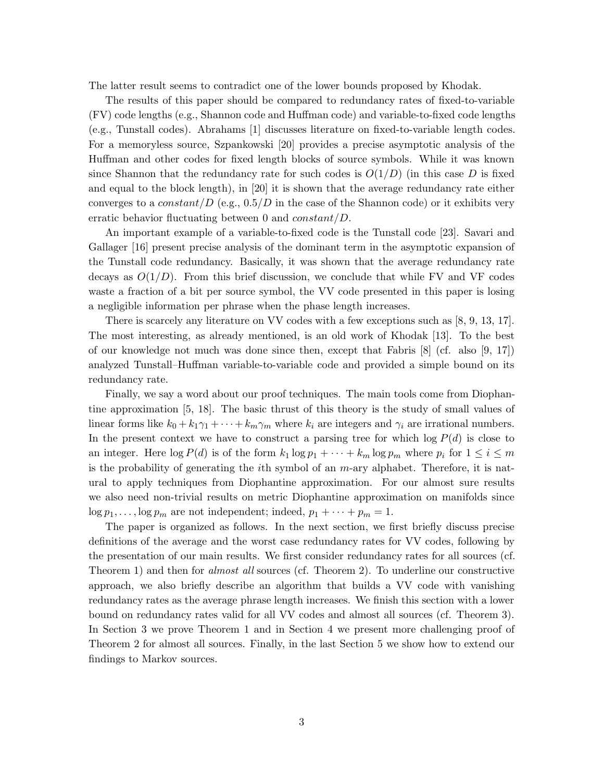The latter result seems to contradict one of the lower bounds proposed by Khodak.

The results of this paper should be compared to redundancy rates of fixed-to-variable (FV) code lengths (e.g., Shannon code and Huffman code) and variable-to-fixed code lengths (e.g., Tunstall codes). Abrahams [1] discusses literature on fixed-to-variable length codes. For a memoryless source, Szpankowski [20] provides a precise asymptotic analysis of the Huffman and other codes for fixed length blocks of source symbols. While it was known since Shannon that the redundancy rate for such codes is  $O(1/D)$  (in this case D is fixed and equal to the block length), in [20] it is shown that the average redundancy rate either converges to a constant/D (e.g.,  $0.5/D$  in the case of the Shannon code) or it exhibits very erratic behavior fluctuating between 0 and  $constant/D$ .

An important example of a variable-to-fixed code is the Tunstall code [23]. Savari and Gallager [16] present precise analysis of the dominant term in the asymptotic expansion of the Tunstall code redundancy. Basically, it was shown that the average redundancy rate decays as  $O(1/D)$ . From this brief discussion, we conclude that while FV and VF codes waste a fraction of a bit per source symbol, the VV code presented in this paper is losing a negligible information per phrase when the phase length increases.

There is scarcely any literature on VV codes with a few exceptions such as [8, 9, 13, 17]. The most interesting, as already mentioned, is an old work of Khodak [13]. To the best of our knowledge not much was done since then, except that Fabris [8] (cf. also [9, 17]) analyzed Tunstall–Huffman variable-to-variable code and provided a simple bound on its redundancy rate.

Finally, we say a word about our proof techniques. The main tools come from Diophantine approximation [5, 18]. The basic thrust of this theory is the study of small values of linear forms like  $k_0 + k_1 \gamma_1 + \cdots + k_m \gamma_m$  where  $k_i$  are integers and  $\gamma_i$  are irrational numbers. In the present context we have to construct a parsing tree for which  $\log P(d)$  is close to an integer. Here  $\log P(d)$  is of the form  $k_1 \log p_1 + \cdots + k_m \log p_m$  where  $p_i$  for  $1 \le i \le m$ is the probability of generating the *i*th symbol of an  $m$ -ary alphabet. Therefore, it is natural to apply techniques from Diophantine approximation. For our almost sure results we also need non-trivial results on metric Diophantine approximation on manifolds since  $\log p_1, \ldots, \log p_m$  are not independent; indeed,  $p_1 + \cdots + p_m = 1$ .

The paper is organized as follows. In the next section, we first briefly discuss precise definitions of the average and the worst case redundancy rates for VV codes, following by the presentation of our main results. We first consider redundancy rates for all sources (cf. Theorem 1) and then for *almost all* sources (cf. Theorem 2). To underline our constructive approach, we also briefly describe an algorithm that builds a VV code with vanishing redundancy rates as the average phrase length increases. We finish this section with a lower bound on redundancy rates valid for all VV codes and almost all sources (cf. Theorem 3). In Section 3 we prove Theorem 1 and in Section 4 we present more challenging proof of Theorem 2 for almost all sources. Finally, in the last Section 5 we show how to extend our findings to Markov sources.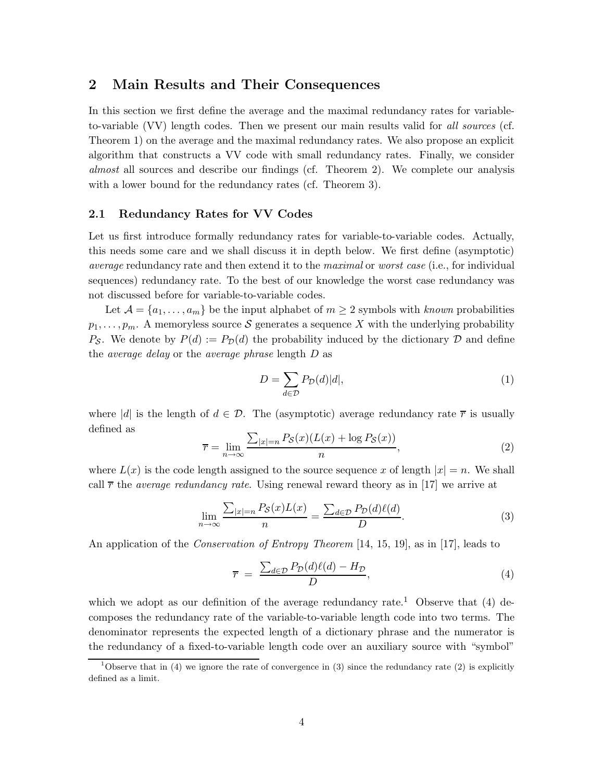## **2 Main Results and Their Consequences**

In this section we first define the average and the maximal redundancy rates for variableto-variable (VV) length codes. Then we present our main results valid for *all sources* (cf. Theorem 1) on the average and the maximal redundancy rates. We also propose an explicit algorithm that constructs a VV code with small redundancy rates. Finally, we consider *almost* all sources and describe our findings (cf. Theorem 2). We complete our analysis with a lower bound for the redundancy rates (cf. Theorem 3).

## **2.1 Redundancy Rates for VV Codes**

Let us first introduce formally redundancy rates for variable-to-variable codes. Actually, this needs some care and we shall discuss it in depth below. We first define (asymptotic) *average* redundancy rate and then extend it to the *maximal* or *worst case* (i.e., for individual sequences) redundancy rate. To the best of our knowledge the worst case redundancy was not discussed before for variable-to-variable codes.

Let  $\mathcal{A} = \{a_1, \ldots, a_m\}$  be the input alphabet of  $m \geq 2$  symbols with *known* probabilities  $p_1,\ldots,p_m$ . A memoryless source S generates a sequence X with the underlying probability  $P_{\mathcal{S}}$ . We denote by  $P(d) := P_{\mathcal{D}}(d)$  the probability induced by the dictionary  $\mathcal{D}$  and define the *average delay* or the *average phrase* length D as

$$
D = \sum_{d \in \mathcal{D}} P_{\mathcal{D}}(d)|d|,\tag{1}
$$

where |d| is the length of  $d \in \mathcal{D}$ . The (asymptotic) average redundancy rate  $\bar{r}$  is usually defined as

$$
\overline{r} = \lim_{n \to \infty} \frac{\sum_{|x|=n} P_{\mathcal{S}}(x)(L(x) + \log P_{\mathcal{S}}(x))}{n},\tag{2}
$$

where  $L(x)$  is the code length assigned to the source sequence x of length  $|x| = n$ . We shall call  $\bar{r}$  the *average redundancy rate*. Using renewal reward theory as in [17] we arrive at

$$
\lim_{n \to \infty} \frac{\sum_{|x|=n} P_{\mathcal{S}}(x) L(x)}{n} = \frac{\sum_{d \in \mathcal{D}} P_{\mathcal{D}}(d) \ell(d)}{D}.
$$
\n(3)

An application of the *Conservation of Entropy Theorem* [14, 15, 19], as in [17], leads to

$$
\overline{r} = \frac{\sum_{d \in \mathcal{D}} P_{\mathcal{D}}(d)\ell(d) - H_{\mathcal{D}}}{D},\tag{4}
$$

which we adopt as our definition of the average redundancy rate.<sup>1</sup> Observe that (4) decomposes the redundancy rate of the variable-to-variable length code into two terms. The denominator represents the expected length of a dictionary phrase and the numerator is the redundancy of a fixed-to-variable length code over an auxiliary source with "symbol"

<sup>&</sup>lt;sup>1</sup>Observe that in (4) we ignore the rate of convergence in (3) since the redundancy rate (2) is explicitly defined as a limit.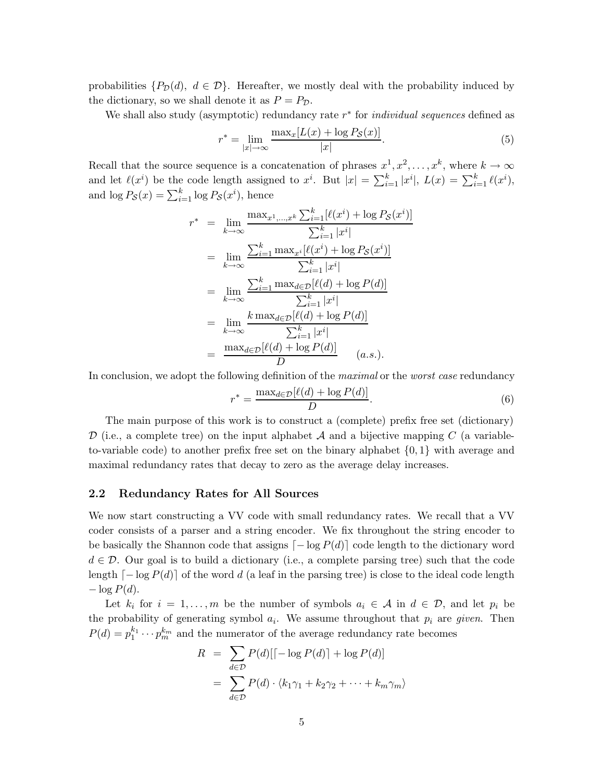probabilities  $\{P_{\mathcal{D}}(d), d \in \mathcal{D}\}\$ . Hereafter, we mostly deal with the probability induced by the dictionary, so we shall denote it as  $P = P_{\mathcal{D}}$ .

We shall also study (asymptotic) redundancy rate r<sup>∗</sup> for *individual sequences* defined as

$$
r^* = \lim_{|x| \to \infty} \frac{\max_x [L(x) + \log P_{\mathcal{S}}(x)]}{|x|}.
$$
\n
$$
(5)
$$

Recall that the source sequence is a concatenation of phrases  $x^1, x^2, \ldots, x^k$ , where  $k \to \infty$ and let  $\ell(x^i)$  be the code length assigned to  $x^i$ . But  $|x| = \sum_{i=1}^k |x^i|$ ,  $L(x) = \sum_{i=1}^k \ell(x^i)$ , and  $\log P_{\mathcal{S}}(x) = \sum_{i=1}^{k} \log P_{\mathcal{S}}(x^{i}),$  hence

$$
r^* = \lim_{k \to \infty} \frac{\max_{x^1, \dots, x^k} \sum_{i=1}^k [\ell(x^i) + \log P_{\mathcal{S}}(x^i)]}{\sum_{i=1}^k |x^i|}
$$
  
\n
$$
= \lim_{k \to \infty} \frac{\sum_{i=1}^k \max_{x^i} [\ell(x^i) + \log P_{\mathcal{S}}(x^i)]}{\sum_{i=1}^k |x^i|}
$$
  
\n
$$
= \lim_{k \to \infty} \frac{\sum_{i=1}^k \max_{d \in \mathcal{D}} [\ell(d) + \log P(d)]}{\sum_{i=1}^k |x^i|}
$$
  
\n
$$
= \lim_{k \to \infty} \frac{k \max_{d \in \mathcal{D}} [\ell(d) + \log P(d)]}{\sum_{i=1}^k |x^i|}
$$
  
\n
$$
= \frac{\max_{d \in \mathcal{D}} [\ell(d) + \log P(d)]}{D} \qquad (a.s.).
$$

In conclusion, we adopt the following definition of the *maximal* or the *worst case* redundancy

$$
r^* = \frac{\max_{d \in \mathcal{D}} [\ell(d) + \log P(d)]}{D}.
$$
\n(6)

The main purpose of this work is to construct a (complete) prefix free set (dictionary) D (i.e., a complete tree) on the input alphabet  $A$  and a bijective mapping C (a variableto-variable code) to another prefix free set on the binary alphabet  $\{0, 1\}$  with average and maximal redundancy rates that decay to zero as the average delay increases.

#### **2.2 Redundancy Rates for All Sources**

We now start constructing a VV code with small redundancy rates. We recall that a VV coder consists of a parser and a string encoder. We fix throughout the string encoder to be basically the Shannon code that assigns  $\lceil -\log P(d) \rceil$  code length to the dictionary word  $d \in \mathcal{D}$ . Our goal is to build a dictionary (i.e., a complete parsing tree) such that the code length  $\lceil -\log P(d) \rceil$  of the word d (a leaf in the parsing tree) is close to the ideal code length  $-\log P(d)$ .

Let  $k_i$  for  $i = 1, \ldots, m$  be the number of symbols  $a_i \in \mathcal{A}$  in  $d \in \mathcal{D}$ , and let  $p_i$  be the probability of generating symbol  $a_i$ . We assume throughout that  $p_i$  are *given*. Then  $P(d) = p_1^{k_1} \cdots p_m^{k_m}$  and the numerator of the average redundancy rate becomes

$$
R = \sum_{d \in \mathcal{D}} P(d)[[-\log P(d)] + \log P(d)]
$$
  
= 
$$
\sum_{d \in \mathcal{D}} P(d) \cdot \langle k_1 \gamma_1 + k_2 \gamma_2 + \dots + k_m \gamma_m \rangle
$$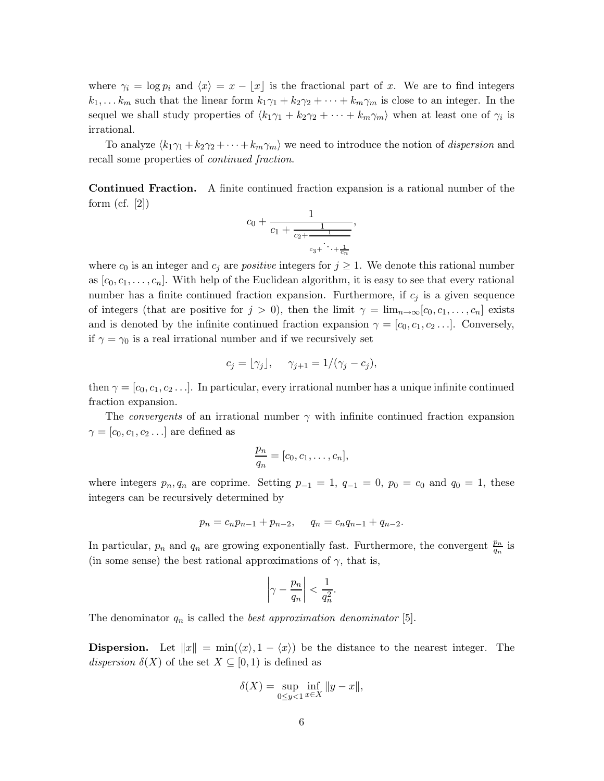where  $\gamma_i = \log p_i$  and  $\langle x \rangle = x - \lfloor x \rfloor$  is the fractional part of x. We are to find integers  $k_1,\ldots,k_m$  such that the linear form  $k_1\gamma_1 + k_2\gamma_2 + \cdots + k_m\gamma_m$  is close to an integer. In the sequel we shall study properties of  $\langle k_1\gamma_1 + k_2\gamma_2 + \cdots + k_m\gamma_m \rangle$  when at least one of  $\gamma_i$  is irrational.

To analyze  $\langle k_1\gamma_1 + k_2\gamma_2 + \cdots + k_m\gamma_m \rangle$  we need to introduce the notion of *dispersion* and recall some properties of *continued fraction*.

**Continued Fraction.** A finite continued fraction expansion is a rational number of the form  $(cf. [2])$ 

$$
c_0 + \frac{1}{c_1 + \frac{1}{c_2 + \frac{1}{c_3 + \ddots + \frac{1}{c_n}}}},
$$

where  $c_0$  is an integer and  $c_j$  are *positive* integers for  $j \geq 1$ . We denote this rational number as  $[c_0, c_1, \ldots, c_n]$ . With help of the Euclidean algorithm, it is easy to see that every rational number has a finite continued fraction expansion. Furthermore, if  $c_i$  is a given sequence of integers (that are positive for  $j > 0$ ), then the limit  $\gamma = \lim_{n \to \infty} [c_0, c_1, \ldots, c_n]$  exists and is denoted by the infinite continued fraction expansion  $\gamma = [c_0, c_1, c_2 \ldots]$ . Conversely, if  $\gamma = \gamma_0$  is a real irrational number and if we recursively set

$$
c_j = \lfloor \gamma_j \rfloor, \quad \gamma_{j+1} = 1/(\gamma_j - c_j),
$$

then  $\gamma = [c_0, c_1, c_2, \ldots]$ . In particular, every irrational number has a unique infinite continued fraction expansion.

The *convergents* of an irrational number  $\gamma$  with infinite continued fraction expansion  $\gamma = [c_0, c_1, c_2 \dots]$  are defined as

$$
\frac{p_n}{q_n} = [c_0, c_1, \dots, c_n],
$$

where integers  $p_n, q_n$  are coprime. Setting  $p_{-1} = 1, q_{-1} = 0, p_0 = c_0$  and  $q_0 = 1$ , these integers can be recursively determined by

$$
p_n = c_n p_{n-1} + p_{n-2}, \qquad q_n = c_n q_{n-1} + q_{n-2}.
$$

In particular,  $p_n$  and  $q_n$  are growing exponentially fast. Furthermore, the convergent  $\frac{p_n}{q_n}$  is (in some sense) the best rational approximations of  $\gamma$ , that is,

$$
\left|\gamma-\frac{p_n}{q_n}\right|<\frac{1}{q_n^2}
$$

.

The denominator  $q_n$  is called the *best approximation denominator* [5].

**Dispersion.** Let  $||x|| = \min(\langle x \rangle, 1 - \langle x \rangle)$  be the distance to the nearest integer. The *dispersion*  $\delta(X)$  of the set  $X \subseteq [0,1)$  is defined as

$$
\delta(X) = \sup_{0 \le y < 1} \inf_{x \in X} \|y - x\|,
$$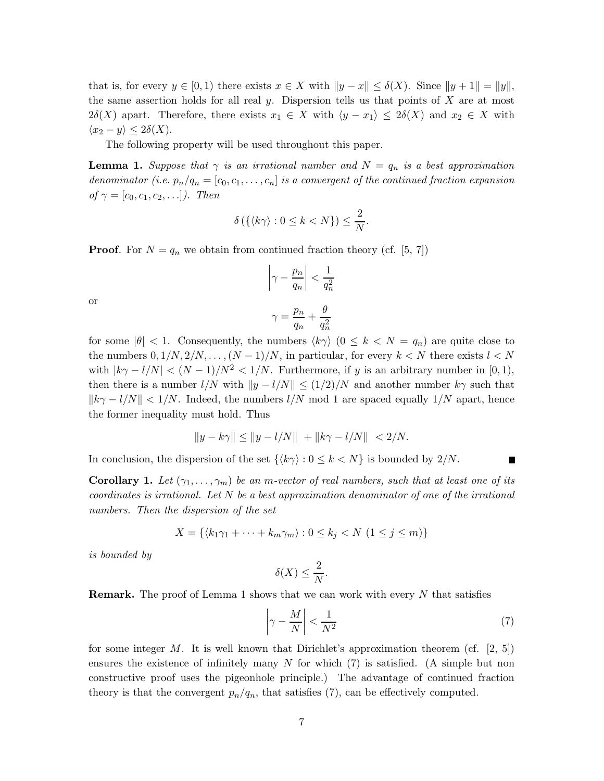that is, for every  $y \in [0, 1)$  there exists  $x \in X$  with  $||y - x|| \leq \delta(X)$ . Since  $||y + 1|| = ||y||$ , the same assertion holds for all real y. Dispersion tells us that points of  $X$  are at most  $2\delta(X)$  apart. Therefore, there exists  $x_1 \in X$  with  $\langle y - x_1 \rangle \leq 2\delta(X)$  and  $x_2 \in X$  with  $\langle x_2 - y \rangle \leq 2\delta(X).$ 

The following property will be used throughout this paper.

**Lemma 1.** *Suppose that*  $\gamma$  *is an irrational number and*  $N = q_n$  *is a best approximation denominator (i.e.*  $p_n/q_n = [c_0, c_1, \ldots, c_n]$  *is a convergent of the continued fraction expansion of*  $\gamma = [c_0, c_1, c_2,...]$ *). Then* 

$$
\delta\left(\{\langle k\gamma\rangle: 0\leq k\lt N\}\right)\leq \frac{2}{N}.
$$

**Proof.** For  $N = q_n$  we obtain from continued fraction theory (cf. [5, 7])

$$
\left|\gamma-\frac{p_n}{q_n}\right|<\frac{1}{q_n^2}
$$

or

$$
\gamma=\frac{p_n}{q_n}+\frac{\theta}{q_n^2}
$$

for some  $|\theta|$  < 1. Consequently, the numbers  $\langle k\gamma \rangle$  ( $0 \leq k \leq N = q_n$ ) are quite close to the numbers  $0, 1/N, 2/N, \ldots, (N-1)/N$ , in particular, for every  $k < N$  there exists  $l < N$ with  $|k\gamma - l/N| < (N-1)/N^2 < 1/N$ . Furthermore, if y is an arbitrary number in [0, 1], then there is a number  $l/N$  with  $||y - l/N|| \leq (1/2)/N$  and another number  $k\gamma$  such that  $||k\gamma - l/N|| < 1/N$ . Indeed, the numbers  $l/N$  mod 1 are spaced equally  $1/N$  apart, hence the former inequality must hold. Thus

$$
||y - k\gamma|| \le ||y - l/N|| + ||k\gamma - l/N|| < 2/N.
$$

In conclusion, the dispersion of the set  $\{\langle k\gamma \rangle : 0 \leq k \leq N\}$  is bounded by  $2/N$ .

**Corollary 1.** Let  $(\gamma_1, \ldots, \gamma_m)$  be an m-vector of real numbers, such that at least one of its *coordinates is irrational. Let* N *be a best approximation denominator of one of the irrational numbers. Then the dispersion of the set*

$$
X = \{ \langle k_1 \gamma_1 + \dots + k_m \gamma_m \rangle : 0 \le k_j < N \ (1 \le j \le m) \}
$$

*is bounded by*

$$
\delta(X) \le \frac{2}{N}.
$$

**Remark.** The proof of Lemma 1 shows that we can work with every N that satisfies

$$
\left|\gamma - \frac{M}{N}\right| < \frac{1}{N^2} \tag{7}
$$

Ē

for some integer M. It is well known that Dirichlet's approximation theorem (cf.  $[2, 5]$ ) ensures the existence of infinitely many N for which  $(7)$  is satisfied. (A simple but non constructive proof uses the pigeonhole principle.) The advantage of continued fraction theory is that the convergent  $p_n/q_n$ , that satisfies (7), can be effectively computed.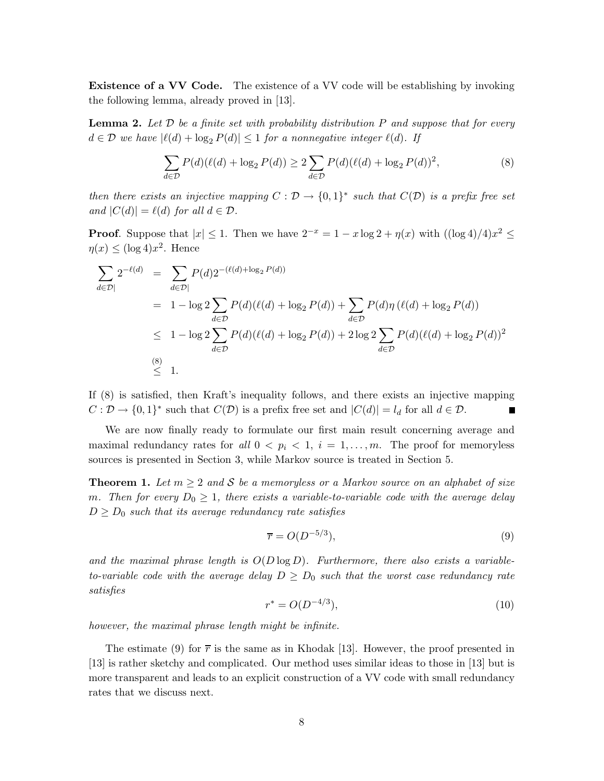**Existence of a VV Code.** The existence of a VV code will be establishing by invoking the following lemma, already proved in [13].

**Lemma 2.** *Let* D *be a finite set with probability distribution* P *and suppose that for every*  $d \in \mathcal{D}$  *we have*  $|\ell(d) + \log_2 P(d)| \leq 1$  *for a nonnegative integer*  $\ell(d)$ *. If* 

$$
\sum_{d \in \mathcal{D}} P(d)(\ell(d) + \log_2 P(d)) \ge 2 \sum_{d \in \mathcal{D}} P(d)(\ell(d) + \log_2 P(d))^2, \tag{8}
$$

*then there exists an injective mapping*  $C : \mathcal{D} \to \{0,1\}^*$  *such that*  $C(\mathcal{D})$  *is a prefix free set and*  $|C(d)| = \ell(d)$  *for all*  $d \in \mathcal{D}$ *.* 

**Proof.** Suppose that  $|x| \leq 1$ . Then we have  $2^{-x} = 1 - x \log 2 + \eta(x)$  with  $(\log 4)/4x^2 \leq$  $\eta(x) \leq (\log 4)x^2$ . Hence

$$
\sum_{d \in \mathcal{D}} 2^{-\ell(d)} = \sum_{d \in \mathcal{D}} P(d) 2^{-(\ell(d) + \log_2 P(d))}
$$
  
=  $1 - \log 2 \sum_{d \in \mathcal{D}} P(d) (\ell(d) + \log_2 P(d)) + \sum_{d \in \mathcal{D}} P(d) \eta (\ell(d) + \log_2 P(d))$   
 $\leq 1 - \log 2 \sum_{d \in \mathcal{D}} P(d) (\ell(d) + \log_2 P(d)) + 2 \log 2 \sum_{d \in \mathcal{D}} P(d) (\ell(d) + \log_2 P(d))^2$   
 $\leq 1.$ 

If (8) is satisfied, then Kraft's inequality follows, and there exists an injective mapping  $C: \mathcal{D} \to \{0, 1\}^*$  such that  $C(\mathcal{D})$  is a prefix free set and  $|C(d)| = l_d$  for all  $d \in \mathcal{D}$ .

We are now finally ready to formulate our first main result concerning average and maximal redundancy rates for all  $0 < p_i < 1, i = 1, \ldots, m$ . The proof for memoryless sources is presented in Section 3, while Markov source is treated in Section 5.

**Theorem 1.** Let  $m \geq 2$  and S be a memoryless or a Markov source on an alphabet of size *m.* Then for every  $D_0 \geq 1$ , there exists a variable-to-variable code with the average delay  $D \geq D_0$  *such that its average redundancy rate satisfies* 

$$
\overline{r} = O(D^{-5/3}),\tag{9}
$$

*and the maximal phrase length is* O(D log D)*. Furthermore, there also exists a variableto-variable code with the average delay*  $D \geq D_0$  *such that the worst case redundancy rate satisfies*

$$
r^* = O(D^{-4/3}),\tag{10}
$$

*however, the maximal phrase length might be infinite.*

The estimate (9) for  $\bar{r}$  is the same as in Khodak [13]. However, the proof presented in [13] is rather sketchy and complicated. Our method uses similar ideas to those in [13] but is more transparent and leads to an explicit construction of a VV code with small redundancy rates that we discuss next.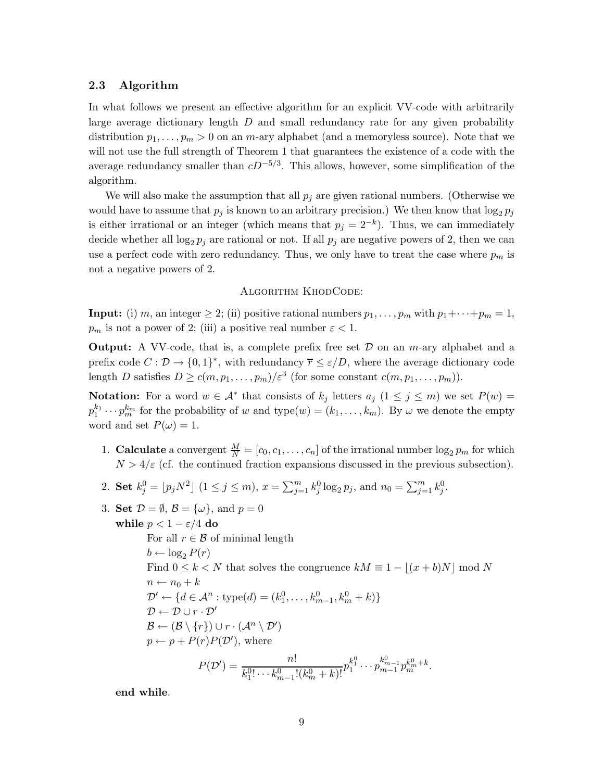#### **2.3 Algorithm**

In what follows we present an effective algorithm for an explicit VV-code with arbitrarily large average dictionary length  $D$  and small redundancy rate for any given probability distribution  $p_1, \ldots, p_m > 0$  on an m-ary alphabet (and a memoryless source). Note that we will not use the full strength of Theorem 1 that guarantees the existence of a code with the average redundancy smaller than  $cD^{-5/3}$ . This allows, however, some simplification of the algorithm.

We will also make the assumption that all  $p_i$  are given rational numbers. (Otherwise we would have to assume that  $p_j$  is known to an arbitrary precision.) We then know that  $\log_2 p_j$ is either irrational or an integer (which means that  $p_j = 2^{-k}$ ). Thus, we can immediately decide whether all  $\log_2 p_j$  are rational or not. If all  $p_j$  are negative powers of 2, then we can use a perfect code with zero redundancy. Thus, we only have to treat the case where  $p_m$  is not a negative powers of 2.

#### Algorithm KhodCode:

**Input:** (i) m, an integer  $\geq 2$ ; (ii) positive rational numbers  $p_1, \ldots, p_m$  with  $p_1 + \cdots + p_m = 1$ ,  $p_m$  is not a power of 2; (iii) a positive real number  $\varepsilon < 1$ .

**Output:** A VV-code, that is, a complete prefix free set  $\mathcal{D}$  on an *m*-ary alphabet and a prefix code  $C : \mathcal{D} \to \{0, 1\}^*$ , with redundancy  $\overline{r} \leq \varepsilon/D$ , where the average dictionary code length D satisfies  $D \ge c(m, p_1, \ldots, p_m)/\varepsilon^3$  (for some constant  $c(m, p_1, \ldots, p_m)$ ).

**Notation:** For a word  $w \in A^*$  that consists of  $k_j$  letters  $a_j$   $(1 \leq j \leq m)$  we set  $P(w)$  $p_1^{k_1} \cdots p_m^{k_m}$  for the probability of w and type $(w) = (k_1, \ldots, k_m)$ . By  $\omega$  we denote the empty word and set  $P(\omega) = 1$ .

- 1. **Calculate** a convergent  $\frac{M}{N} = [c_0, c_1, \dots, c_n]$  of the irrational number  $\log_2 p_m$  for which  $N > 4/\varepsilon$  (cf. the continued fraction expansions discussed in the previous subsection).
- 2. **Set**  $k_j^0 = [p_j N^2]$   $(1 \le j \le m)$ ,  $x = \sum_{j=1}^m k_j^0 \log_2 p_j$ , and  $n_0 = \sum_{j=1}^m k_j^0$ .
- 3. **Set**  $\mathcal{D} = \emptyset$ ,  $\mathcal{B} = \{\omega\}$ , and  $p = 0$ **while**  $p < 1 - \varepsilon/4$  **do** For all  $r \in \mathcal{B}$  of minimal length  $b \leftarrow \log_2 P(r)$ Find  $0 \leq k < N$  that solves the congruence  $kM \equiv 1 - |(x + b)N| \mod N$  $n \leftarrow n_0 + k$  $\mathcal{D}' \leftarrow \{d \in \mathcal{A}^n : \text{type}(d) = (k_1^0, \dots, k_{m-1}^0, k_m^0 + k)\}$  $\mathcal{D} \leftarrow \mathcal{D} \cup r \cdot \mathcal{D}'$  $\mathcal{B} \leftarrow (\mathcal{B} \setminus \{r\}) \cup r \cdot (\mathcal{A}^n \setminus \mathcal{D}')$  $p \leftarrow p + P(r)P(\mathcal{D}')$ , where  $P(\mathcal{D}') = \frac{n!}{(0! - 10^n)}$  $\frac{n!}{k_1^{0!} \cdots k_{m-1}^{0}! (k_m^0+k)!} p_1^{k_1^{0}} \cdots p_{m-1}^{k_{m-1}^{0}} p_m^{k_m^{0}+k}.$

**end while**.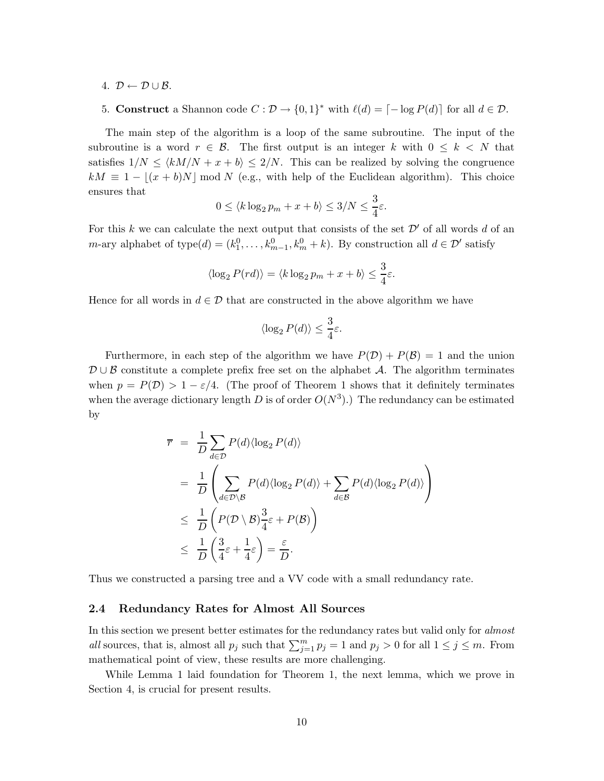4.  $\mathcal{D} \leftarrow \mathcal{D} \cup \mathcal{B}$ .

5. Construct a Shannon code 
$$
C : \mathcal{D} \to \{0,1\}^*
$$
 with  $\ell(d) = [-\log P(d)]$  for all  $d \in \mathcal{D}$ .

The main step of the algorithm is a loop of the same subroutine. The input of the subroutine is a word  $r \in \mathcal{B}$ . The first output is an integer k with  $0 \leq k \leq N$  that satisfies  $1/N \leq \langle kM/N + x + b \rangle \leq 2/N$ . This can be realized by solving the congruence  $kM \equiv 1 - |(x + b)N| \mod N$  (e.g., with help of the Euclidean algorithm). This choice ensures that

$$
0 \le \langle k \log_2 p_m + x + b \rangle \le 3/N \le \frac{3}{4}\varepsilon.
$$

For this k we can calculate the next output that consists of the set  $\mathcal{D}'$  of all words d of an m-ary alphabet of type $(d) = (k_1^0, \ldots, k_{m-1}^0, k_m^0 + k)$ . By construction all  $d \in \mathcal{D}'$  satisfy

$$
\langle \log_2 P(rd) \rangle = \langle k \log_2 p_m + x + b \rangle \le \frac{3}{4} \varepsilon.
$$

Hence for all words in  $d \in \mathcal{D}$  that are constructed in the above algorithm we have

$$
\langle \log_2 P(d)\rangle \leq \frac{3}{4}\varepsilon.
$$

Furthermore, in each step of the algorithm we have  $P(\mathcal{D}) + P(\mathcal{B}) = 1$  and the union  $\mathcal{D}\cup\mathcal{B}$  constitute a complete prefix free set on the alphabet A. The algorithm terminates when  $p = P(\mathcal{D}) > 1 - \varepsilon/4$ . (The proof of Theorem 1 shows that it definitely terminates when the average dictionary length D is of order  $O(N^3)$ .) The redundancy can be estimated by

$$
\overline{r} = \frac{1}{D} \sum_{d \in \mathcal{D}} P(d) \langle \log_2 P(d) \rangle
$$
  
\n
$$
= \frac{1}{D} \left( \sum_{d \in \mathcal{D} \setminus \mathcal{B}} P(d) \langle \log_2 P(d) \rangle + \sum_{d \in \mathcal{B}} P(d) \langle \log_2 P(d) \rangle \right)
$$
  
\n
$$
\leq \frac{1}{D} \left( P(\mathcal{D} \setminus \mathcal{B}) \frac{3}{4} \varepsilon + P(\mathcal{B}) \right)
$$
  
\n
$$
\leq \frac{1}{D} \left( \frac{3}{4} \varepsilon + \frac{1}{4} \varepsilon \right) = \frac{\varepsilon}{D}.
$$

Thus we constructed a parsing tree and a VV code with a small redundancy rate.

#### **2.4 Redundancy Rates for Almost All Sources**

In this section we present better estimates for the redundancy rates but valid only for *almost all* sources, that is, almost all  $p_j$  such that  $\sum_{j=1}^m p_j = 1$  and  $p_j > 0$  for all  $1 \le j \le m$ . From mathematical point of view, these results are more challenging.

While Lemma 1 laid foundation for Theorem 1, the next lemma, which we prove in Section 4, is crucial for present results.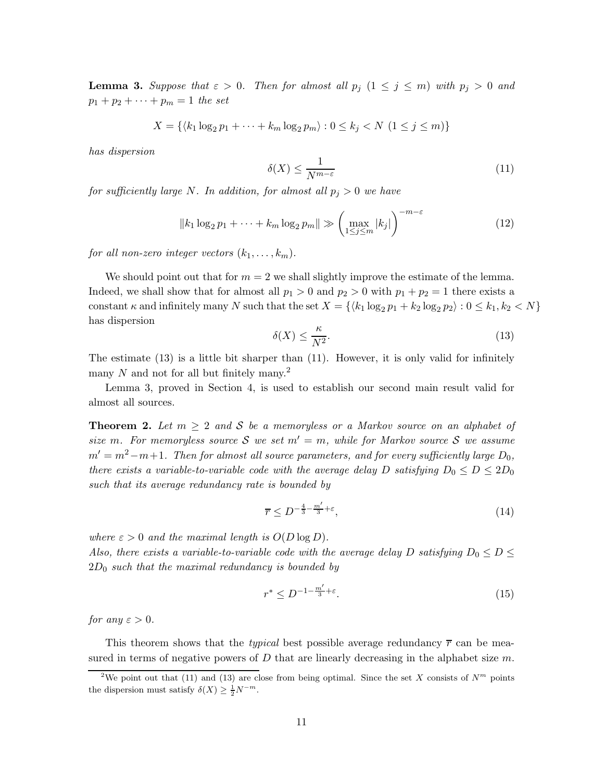**Lemma 3.** Suppose that  $\varepsilon > 0$ . Then for almost all  $p_j$   $(1 \leq j \leq m)$  with  $p_j > 0$  and  $p_1 + p_2 + \cdots + p_m = 1$  *the set* 

$$
X = \{ \langle k_1 \log_2 p_1 + \dots + k_m \log_2 p_m \rangle : 0 \le k_j < N \ (1 \le j \le m) \}
$$

*has dispersion*

$$
\delta(X) \le \frac{1}{N^{m-\varepsilon}}\tag{11}
$$

*for sufficiently large* N. In addition, for almost all  $p_i > 0$  we have

$$
||k_1 \log_2 p_1 + \dots + k_m \log_2 p_m|| \gg \left(\max_{1 \le j \le m} |k_j|\right)^{-m-\varepsilon}
$$
\n(12)

*for all non-zero integer vectors*  $(k_1, \ldots, k_m)$ *.* 

We should point out that for  $m = 2$  we shall slightly improve the estimate of the lemma. Indeed, we shall show that for almost all  $p_1 > 0$  and  $p_2 > 0$  with  $p_1 + p_2 = 1$  there exists a constant  $\kappa$  and infinitely many N such that the set  $X = \{ \langle k_1 \log_2 p_1 + k_2 \log_2 p_2 \rangle : 0 \le k_1, k_2 < N \}$ has dispersion

$$
\delta(X) \le \frac{\kappa}{N^2}.\tag{13}
$$

The estimate  $(13)$  is a little bit sharper than  $(11)$ . However, it is only valid for infinitely many N and not for all but finitely many.<sup>2</sup>

Lemma 3, proved in Section 4, is used to establish our second main result valid for almost all sources.

**Theorem 2.** Let  $m \geq 2$  and S be a memoryless or a Markov source on an alphabet of *size* m. For memoryless source S we set  $m' = m$ , while for Markov source S we assume  $m' = m^2 - m + 1$ . Then for almost all source parameters, and for every sufficiently large  $D_0$ , *there exists a variable-to-variable code with the average delay* D *satisfying*  $D_0 \leq D \leq 2D_0$ *such that its average redundancy rate is bounded by*

$$
\overline{r} \le D^{-\frac{4}{3} - \frac{m'}{3} + \varepsilon},\tag{14}
$$

*where*  $\varepsilon > 0$  *and the maximal length is*  $O(D \log D)$ *.* 

*Also, there exists a variable-to-variable code with the average delay* D *satisfying*  $D_0 \leq D \leq$ <sup>2</sup>D0 *such that the maximal redundancy is bounded by*

$$
r^* \le D^{-1 - \frac{m'}{3} + \varepsilon}.\tag{15}
$$

*for any*  $\varepsilon > 0$ *.* 

This theorem shows that the *typical* best possible average redundancy  $\bar{r}$  can be measured in terms of negative powers of D that are linearly decreasing in the alphabet size  $m$ .

<sup>&</sup>lt;sup>2</sup>We point out that (11) and (13) are close from being optimal. Since the set X consists of  $N^m$  points the dispersion must satisfy  $\delta(X) \geq \frac{1}{2} N^{-m}$ .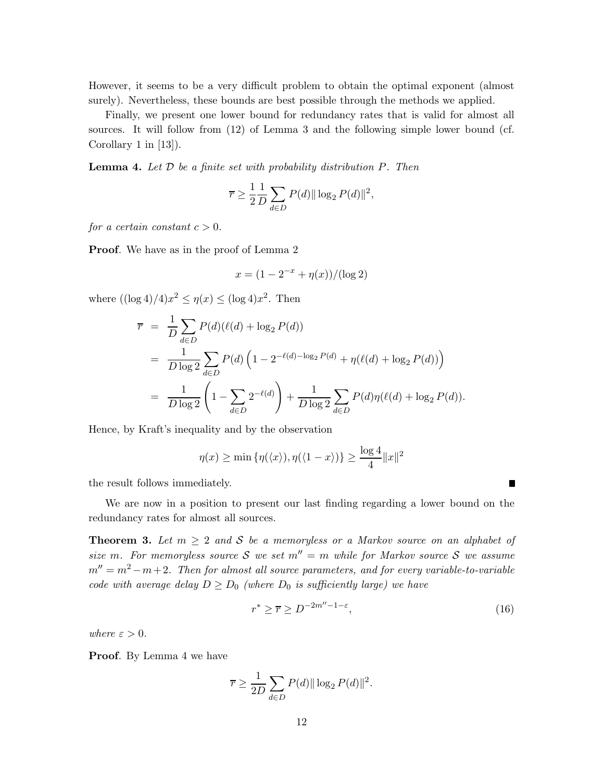However, it seems to be a very difficult problem to obtain the optimal exponent (almost surely). Nevertheless, these bounds are best possible through the methods we applied.

Finally, we present one lower bound for redundancy rates that is valid for almost all sources. It will follow from (12) of Lemma 3 and the following simple lower bound (cf. Corollary 1 in [13]).

**Lemma 4.** *Let* D *be a finite set with probability distribution* P*. Then*

$$
\overline{r} \ge \frac{1}{2} \frac{1}{D} \sum_{d \in D} P(d) ||\log_2 P(d)||^2,
$$

*for a certain constant*  $c > 0$ *.* 

**Proof.** We have as in the proof of Lemma 2

$$
x = (1 - 2^{-x} + \eta(x)) / (\log 2)
$$

where  $((\log 4)/4)x^2 \le \eta(x) \le (\log 4)x^2$ . Then

$$
\overline{r} = \frac{1}{D} \sum_{d \in D} P(d) (\ell(d) + \log_2 P(d))
$$
  
= 
$$
\frac{1}{D \log 2} \sum_{d \in D} P(d) \left( 1 - 2^{-\ell(d) - \log_2 P(d)} + \eta(\ell(d) + \log_2 P(d)) \right)
$$
  
= 
$$
\frac{1}{D \log 2} \left( 1 - \sum_{d \in D} 2^{-\ell(d)} \right) + \frac{1}{D \log 2} \sum_{d \in D} P(d) \eta(\ell(d) + \log_2 P(d)).
$$

Hence, by Kraft's inequality and by the observation

$$
\eta(x) \ge \min \left\{ \eta(\langle x \rangle), \eta(\langle 1 - x \rangle) \right\} \ge \frac{\log 4}{4} ||x||^2
$$

the result follows immediately.

We are now in a position to present our last finding regarding a lower bound on the redundancy rates for almost all sources.

**Theorem 3.** Let  $m \geq 2$  and S be a memoryless or a Markov source on an alphabet of *size* m. For memoryless source S we set  $m'' = m$  while for Markov source S we assume  $m'' = m^2 - m + 2$ . Then for almost all source parameters, and for every variable-to-variable *code with average delay*  $D \geq D_0$  *(where*  $D_0$  *is sufficiently large) we have* 

$$
r^* \ge \overline{r} \ge D^{-2m''-1-\varepsilon},\tag{16}
$$

Ē

*where*  $\varepsilon > 0$ *.* 

**Proof**. By Lemma 4 we have

$$
\overline{r} \ge \frac{1}{2D} \sum_{d \in D} P(d) ||\log_2 P(d)||^2.
$$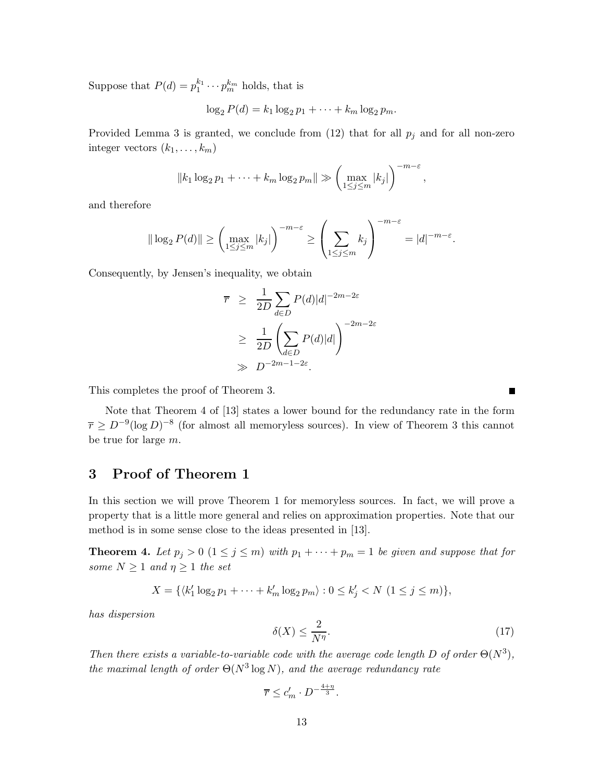Suppose that  $P(d) = p_1^{k_1} \cdots p_m^{k_m}$  holds, that is

 $\log_2 P(d) = k_1 \log_2 p_1 + \cdots + k_m \log_2 p_m.$ 

Provided Lemma 3 is granted, we conclude from  $(12)$  that for all  $p_j$  and for all non-zero integer vectors  $(k_1, \ldots, k_m)$ 

$$
||k_1 \log_2 p_1 + \cdots + k_m \log_2 p_m|| \gg \left(\max_{1 \leq j \leq m} |k_j|\right)^{-m-\varepsilon},
$$

and therefore

$$
\|\log_2 P(d)\| \ge \left(\max_{1\le j\le m} |k_j|\right)^{-m-\varepsilon} \ge \left(\sum_{1\le j\le m} k_j\right)^{-m-\varepsilon} = |d|^{-m-\varepsilon}.
$$

Consequently, by Jensen's inequality, we obtain

$$
\overline{r} \geq \frac{1}{2D} \sum_{d \in D} P(d)|d|^{-2m-2\varepsilon}
$$
  
 
$$
\geq \frac{1}{2D} \left( \sum_{d \in D} P(d)|d| \right)^{-2m-2\varepsilon}
$$
  
 
$$
\gg D^{-2m-1-2\varepsilon}.
$$

This completes the proof of Theorem 3.

Note that Theorem 4 of [13] states a lower bound for the redundancy rate in the form  $\overline{r} \geq D^{-9}(\log D)^{-8}$  (for almost all memoryless sources). In view of Theorem 3 this cannot be true for large m.

## **3 Proof of Theorem 1**

In this section we will prove Theorem 1 for memoryless sources. In fact, we will prove a property that is a little more general and relies on approximation properties. Note that our method is in some sense close to the ideas presented in [13].

**Theorem 4.** Let  $p_j > 0$   $(1 \leq j \leq m)$  with  $p_1 + \cdots + p_m = 1$  be given and suppose that for *some*  $N \geq 1$  *and*  $\eta \geq 1$  *the set* 

$$
X = \{ \langle k'_1 \log_2 p_1 + \dots + k'_m \log_2 p_m \rangle : 0 \le k'_j < N \ (1 \le j \le m) \},\
$$

*has dispersion*

$$
\delta(X) \le \frac{2}{N^{\eta}}.\tag{17}
$$

*Then there exists a variable-to-variable code with the average code length*  $D$  *of order*  $\Theta(N^3)$ *, the maximal length of order*  $\Theta(N^3 \log N)$ *, and the average redundancy rate* 

$$
\overline{r} \le c'_m \cdot D^{-\frac{4+\eta}{3}}.
$$

Г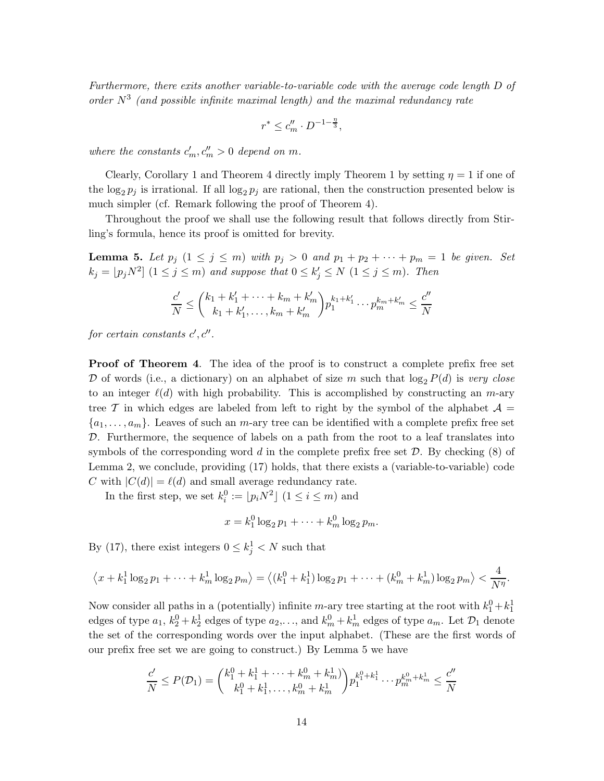*Furthermore, there exits another variable-to-variable code with the average code length* D *of order* N<sup>3</sup> *(and possible infinite maximal length) and the maximal redundancy rate*

$$
r^*\leq c_m''\cdot D^{-1-\frac{\eta}{3}},
$$

where the constants  $c'_m, c''_m > 0$  depend on m.

Clearly, Corollary 1 and Theorem 4 directly imply Theorem 1 by setting  $\eta = 1$  if one of the  $\log_2 p_j$  is irrational. If all  $\log_2 p_j$  are rational, then the construction presented below is<br>used simple (of Personal following the present for Theorem 4) much simpler (cf. Remark following the proof of Theorem 4).

Throughout the proof we shall use the following result that follows directly from Stirling's formula, hence its proof is omitted for brevity.

**Lemma 5.** Let  $p_j$   $(1 \leq j \leq m)$  with  $p_j > 0$  and  $p_1 + p_2 + \cdots + p_m = 1$  be given. Set  $k_j = \lfloor p_j N^2 \rfloor \ (1 \leq j \leq m)$  and suppose that  $0 \leq k'_j \leq N \ (1 \leq j \leq m)$ . Then

$$
\frac{c'}{N} \le \binom{k_1 + k'_1 + \dots + k_m + k'_m}{k_1 + k'_1, \dots, k_m + k'_m} p_1^{k_1 + k'_1} \dots p_m^{k_m + k'_m} \le \frac{c''}{N}
$$

 $for certain\ constants\ c', c''.$ 

**Proof of Theorem 4.** The idea of the proof is to construct a complete prefix free set  $\mathcal D$  of words (i.e., a dictionary) on an alphabet of size m such that  $\log_2 P(d)$  is *very close* to an integer  $\ell(d)$  with high probability. This is accomplished by constructing an m-ary tree T in which edges are labeled from left to right by the symbol of the alphabet  $A =$  $\{a_1,\ldots,a_m\}$ . Leaves of such an *m*-ary tree can be identified with a complete prefix free set D. Furthermore, the sequence of labels on a path from the root to a leaf translates into symbols of the corresponding word d in the complete prefix free set  $\mathcal{D}$ . By checking (8) of Lemma 2, we conclude, providing (17) holds, that there exists a (variable-to-variable) code C with  $|C(d)| = \ell(d)$  and small average redundancy rate.

In the first step, we set  $k_i^0 := [p_i N^2]$   $(1 \le i \le m)$  and

$$
x = k_1^0 \log_2 p_1 + \dots + k_m^0 \log_2 p_m.
$$

By (17), there exist integers  $0 \leq k_j^1 < N$  such that

$$
\left\langle x + k_1^1 \log_2 p_1 + \dots + k_m^1 \log_2 p_m \right\rangle = \left\langle (k_1^0 + k_1^1) \log_2 p_1 + \dots + (k_m^0 + k_m^1) \log_2 p_m \right\rangle < \frac{4}{N^{\eta}}.
$$

Now consider all paths in a (potentially) infinite m-ary tree starting at the root with  $k_1^0 + k_1^1$ edges of type  $a_1$ ,  $k_2^0 + k_2^1$  edges of type  $a_2, \ldots$ , and  $k_m^0 + k_m^1$  edges of type  $a_m$ . Let  $\mathcal{D}_1$  denote the set of the corresponding words over the input alphabet. (These are the first words of our prefix free set we are going to construct.) By Lemma 5 we have

$$
\frac{c'}{N} \le P(\mathcal{D}_1) = {k_1^0 + k_1^1 + \dots + k_m^0 + k_m^1 \choose k_1^0 + k_1^1, \dots, k_m^0 + k_m^1} p_1^{k_1^0 + k_1^1} \dots p_m^{k_m^0 + k_m^1} \le \frac{c''}{N}
$$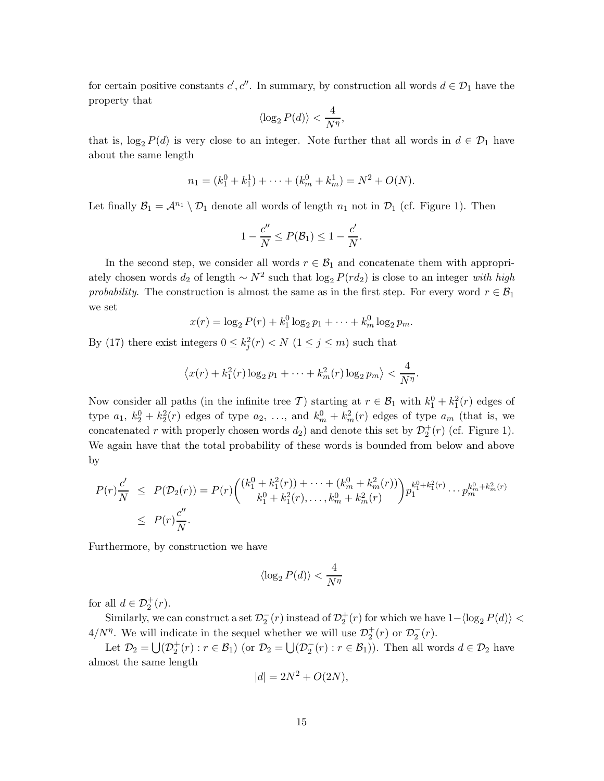for certain positive constants  $c', c''$ . In summary, by construction all words  $d \in \mathcal{D}_1$  have the property that

$$
\langle \log_2 P(d) \rangle < \frac{4}{N^{\eta}},
$$

that is,  $\log_2 P(d)$  is very close to an integer. Note further that all words in  $d \in \mathcal{D}_1$  have about the same length

$$
n_1 = (k_1^0 + k_1^1) + \dots + (k_m^0 + k_m^1) = N^2 + O(N).
$$

Let finally  $\mathcal{B}_1 = \mathcal{A}^{n_1} \setminus \mathcal{D}_1$  denote all words of length  $n_1$  not in  $\mathcal{D}_1$  (cf. Figure 1). Then

$$
1 - \frac{c''}{N} \le P(\mathcal{B}_1) \le 1 - \frac{c'}{N}.
$$

In the second step, we consider all words  $r \in \mathcal{B}_1$  and concatenate them with appropriately chosen words  $d_2$  of length  $\sim N^2$  such that  $\log_2 P(r d_2)$  is close to an integer *with high probability*. The construction is almost the same as in the first step. For every word  $r \in \mathcal{B}_1$ we set

$$
x(r) = \log_2 P(r) + k_1^0 \log_2 p_1 + \cdots + k_m^0 \log_2 p_m.
$$

By (17) there exist integers  $0 \leq k_j^2(r) < N$  ( $1 \leq j \leq m$ ) such that

$$
\left\langle x(r) + k_1^2(r) \log_2 p_1 + \cdots + k_m^2(r) \log_2 p_m \right\rangle < \frac{4}{N^{\eta}}.
$$

Now consider all paths (in the infinite tree T) starting at  $r \in \mathcal{B}_1$  with  $k_1^0 + k_1^2(r)$  edges of type  $a_1, k_2^0 + k_2^2(r)$  edges of type  $a_2, \ldots$ , and  $k_m^0 + k_m^2(r)$  edges of type  $a_m$  (that is, we concatenated r with properly chosen words  $d_2$ ) and denote this set by  $\mathcal{D}_2^+(r)$  (cf. Figure 1).<br>We again have that the total probability of these words is have ded from helow and above. We again have that the total probability of these words is bounded from below and above by

$$
P(r)\frac{c'}{N} \le P(\mathcal{D}_2(r)) = P(r) \binom{(k_1^0 + k_1^2(r)) + \dots + (k_m^0 + k_m^2(r))}{k_1^0 + k_1^2(r), \dots, k_m^0 + k_m^2(r)} p_1^{k_1^0 + k_1^2(r)} \dots p_m^{k_m^0 + k_m^2(r)} \n\le P(r)\frac{c''}{N}.
$$

Furthermore, by construction we have

$$
\langle \log_2 P(d) \rangle < \frac{4}{N^{\eta}}
$$

for all  $d \in \mathcal{D}_2^+(r)$ .<br>Similarly  $\mathbf{m}_2$ 

Similarly, we can construct a set  $\mathcal{D}_2^-(r)$  instead of  $\mathcal{D}_2^+(r)$  for which we have  $1-\langle \log_2 P(d) \rangle <$  $4/N^{\eta}$ . We will indicate in the sequel whether we will use  $\mathcal{D}_2^+(r)$  or  $\mathcal{D}_2^-(r)$ .<br>
Let  $\mathcal{D}_2^- + 1/\mathcal{D}^+(r)$ ,  $r \in \mathcal{B}_1$  (or  $\mathcal{D}_2^- + 1/\mathcal{D}^-(r)$ ,  $r \in \mathcal{B}_1$ )). Then all we

Let  $\mathcal{D}_2 = \bigcup (\mathcal{D}_2^+(r) : r \in \mathcal{B}_1)$  (or  $\mathcal{D}_2 = \bigcup (\mathcal{D}_2^-(r) : r \in \mathcal{B}_1)$ ). Then all words  $d \in \mathcal{D}_2$  have almost the same length

$$
|d| = 2N^2 + O(2N),
$$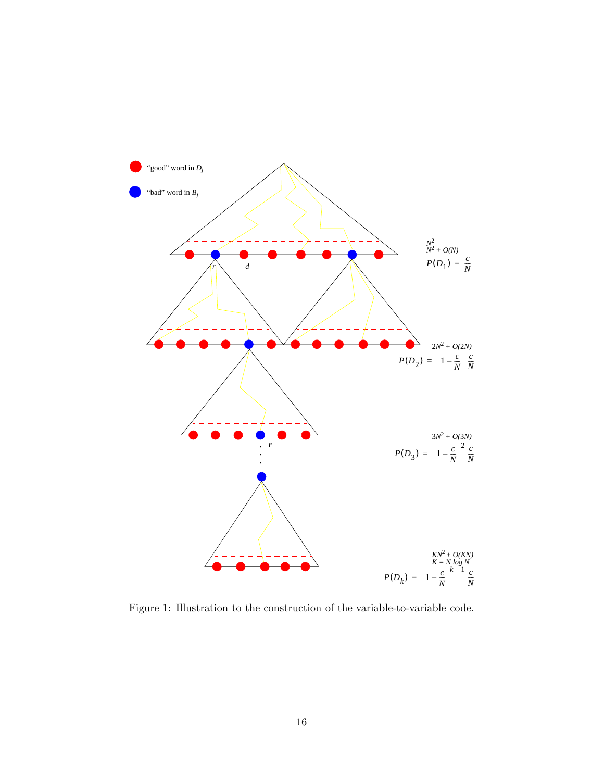

Figure 1: Illustration to the construction of the variable-to-variable code.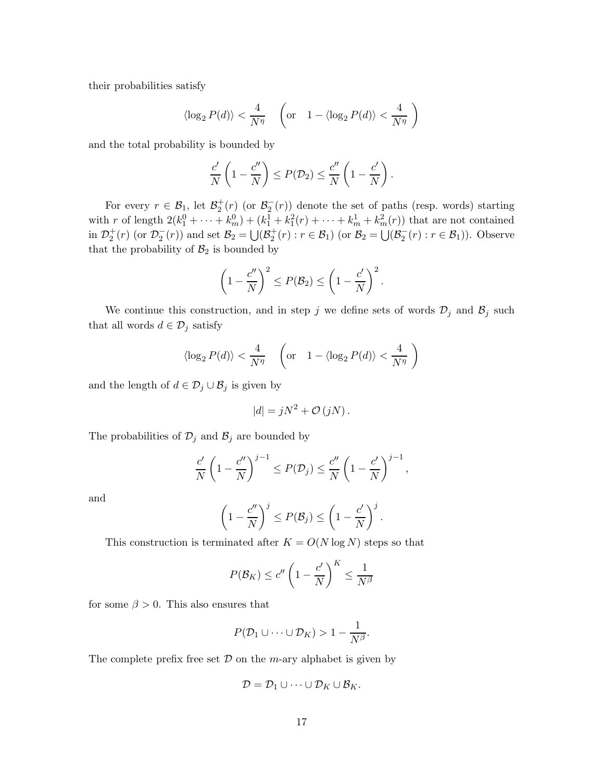their probabilities satisfy

$$
\langle \log_2 P(d) \rangle < \frac{4}{N^{\eta}} \quad \left( \text{or} \quad 1 - \langle \log_2 P(d) \rangle < \frac{4}{N^{\eta}} \right)
$$

and the total probability is bounded by

$$
\frac{c'}{N}\left(1-\frac{c''}{N}\right) \le P(\mathcal{D}_2) \le \frac{c''}{N}\left(1-\frac{c'}{N}\right).
$$

For every  $r \in \mathcal{B}_1$ , let  $\mathcal{B}_2^+(r)$  (or  $\mathcal{B}_2^-(r)$ ) denote the set of paths (resp. words) starting with r of length  $2(k_1^0 + \cdots + k_m^0) + (k_1^1 + k_1^2(r) + \cdots + k_m^1 + k_m^2(r))$  that are not contained<br>in  $\mathcal{D}^+(n)$  (or  $\mathcal{D}^-(n)$ ) and set  $\mathcal{D}^-(n)$ ) and  $\mathcal{D}^+(n)$  is  $\mathcal{D}^-(n)$  is  $\mathcal{D}^-(n)$ ). Observe in  $\mathcal{D}_2^+(r)$  (or  $\mathcal{D}_2^-(r)$ ) and set  $\mathcal{B}_2 = \bigcup (\mathcal{B}_2^+(r) : r \in \mathcal{B}_1)$  (or  $\mathcal{B}_2 = \bigcup (\mathcal{B}_2^-(r) : r \in \mathcal{B}_1)$ ). Observe that the probability of  $\mathcal{B}_2$  is bounded by

$$
\left(1-\frac{c''}{N}\right)^2 \le P(\mathcal{B}_2) \le \left(1-\frac{c'}{N}\right)^2.
$$

We continue this construction, and in step j we define sets of words  $\mathcal{D}_j$  and  $\mathcal{B}_j$  such that all words  $d \in \mathcal{D}_j$  satisfy

$$
\langle \log_2 P(d) \rangle < \frac{4}{N^{\eta}} \quad \left( \text{or} \quad 1 - \langle \log_2 P(d) \rangle < \frac{4}{N^{\eta}} \right)
$$

and the length of  $d \in \mathcal{D}_j \cup \mathcal{B}_j$  is given by

$$
|d| = jN^2 + \mathcal{O}(jN).
$$

The probabilities of  $\mathcal{D}_j$  and  $\mathcal{B}_j$  are bounded by

$$
\frac{c'}{N}\left(1-\frac{c''}{N}\right)^{j-1} \le P(\mathcal{D}_j) \le \frac{c''}{N}\left(1-\frac{c'}{N}\right)^{j-1},\,
$$

and

$$
\left(1-\frac{c''}{N}\right)^j \le P(\mathcal{B}_j) \le \left(1-\frac{c'}{N}\right)^j.
$$

This construction is terminated after  $K = O(N \log N)$  steps so that

$$
P(\mathcal{B}_K) \le c'' \left(1 - \frac{c'}{N}\right)^K \le \frac{1}{N^{\beta}}
$$

for some  $\beta > 0$ . This also ensures that

$$
P(\mathcal{D}_1 \cup \cdots \cup \mathcal{D}_K) > 1 - \frac{1}{N^{\beta}}.
$$

The complete prefix free set  $D$  on the *m*-ary alphabet is given by

$$
\mathcal{D} = \mathcal{D}_1 \cup \cdots \cup \mathcal{D}_K \cup \mathcal{B}_K.
$$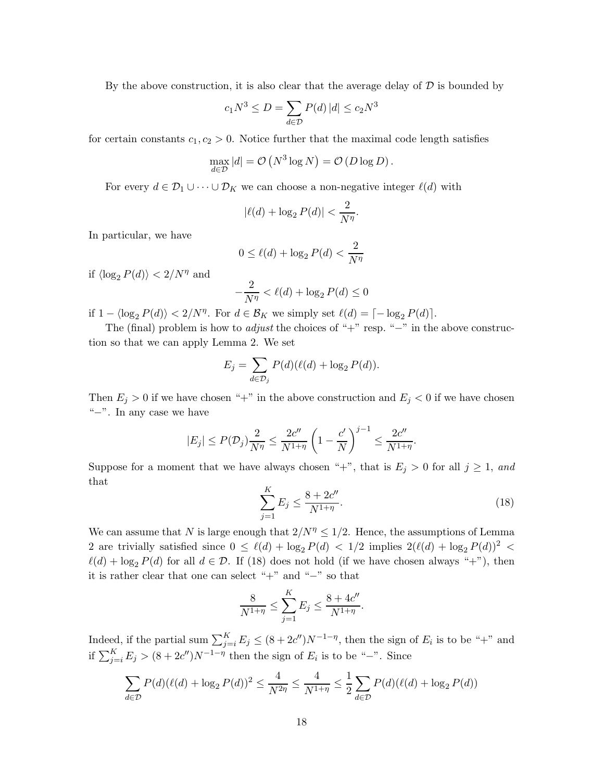By the above construction, it is also clear that the average delay of  $D$  is bounded by

$$
c_1 N^3 \le D = \sum_{d \in \mathcal{D}} P(d) |d| \le c_2 N^3
$$

for certain constants  $c_1, c_2 > 0$ . Notice further that the maximal code length satisfies

$$
\max_{d \in \mathcal{D}} |d| = \mathcal{O}(N^3 \log N) = \mathcal{O}(D \log D).
$$

For every  $d \in \mathcal{D}_1 \cup \cdots \cup \mathcal{D}_K$  we can choose a non-negative integer  $\ell(d)$  with

$$
|\ell(d) + \log_2 P(d)| < \frac{2}{N^{\eta}}.
$$

In particular, we have

$$
0 \le \ell(d) + \log_2 P(d) < \frac{2}{N^{\eta}}
$$

if  $\langle \log_2 P(d) \rangle < 2/N^{\eta}$  and

$$
-\frac{2}{N^{\eta}} < \ell(d) + \log_2 P(d) \le 0
$$

if  $1 - \langle \log_2 P(d) \rangle < 2/N^{\eta}$ . For  $d \in \mathcal{B}_K$  we simply set  $\ell(d) = \lceil -\log_2 P(d) \rceil$ .

The (final) problem is how to *adjust* the choices of "+" resp. "−" in the above construction so that we can apply Lemma 2. We set

$$
E_j = \sum_{d \in \mathcal{D}_j} P(d) (\ell(d) + \log_2 P(d)).
$$

Then  $E_j > 0$  if we have chosen "+" in the above construction and  $E_j < 0$  if we have chosen "−". In any case we have

$$
|E_j| \le P(\mathcal{D}_j) \frac{2}{N^{\eta}} \le \frac{2c''}{N^{1+\eta}} \left(1 - \frac{c'}{N}\right)^{j-1} \le \frac{2c''}{N^{1+\eta}}.
$$

Suppose for a moment that we have always chosen "+", that is  $E_j > 0$  for all  $j \ge 1$ , and that

$$
\sum_{j=1}^{K} E_j \le \frac{8 + 2c''}{N^{1+\eta}}.
$$
\n(18)

We can assume that N is large enough that  $2/N^{\eta} \leq 1/2$ . Hence, the assumptions of Lemma 2 are trivially satisfied since  $0 \leq \ell(d) + \log_2 P(d) < 1/2$  implies  $2(\ell(d) + \log_2 P(d))^2$  $\ell(d) + \log_2 P(d)$  for all  $d \in \mathcal{D}$ . If (18) does not hold (if we have chosen always "+"), then it is rather clear that one can select "+" and "−" so that

$$
\frac{8}{N^{1+\eta}} \le \sum_{j=1}^{K} E_j \le \frac{8+4c''}{N^{1+\eta}}.
$$

Indeed, if the partial sum  $\sum_{j=i}^{K} E_j \le (8 + 2c'')N^{-1-\eta}$ , then the sign of  $E_i$  is to be "+" and if  $\sum_{j=i}^{K} E_j > (8 + 2c'')N^{-1-\eta}$  then the sign of  $E_i$  is to be "−". Since

$$
\sum_{d \in \mathcal{D}} P(d) (\ell(d) + \log_2 P(d))^2 \le \frac{4}{N^{2\eta}} \le \frac{4}{N^{1+\eta}} \le \frac{1}{2} \sum_{d \in \mathcal{D}} P(d) (\ell(d) + \log_2 P(d))
$$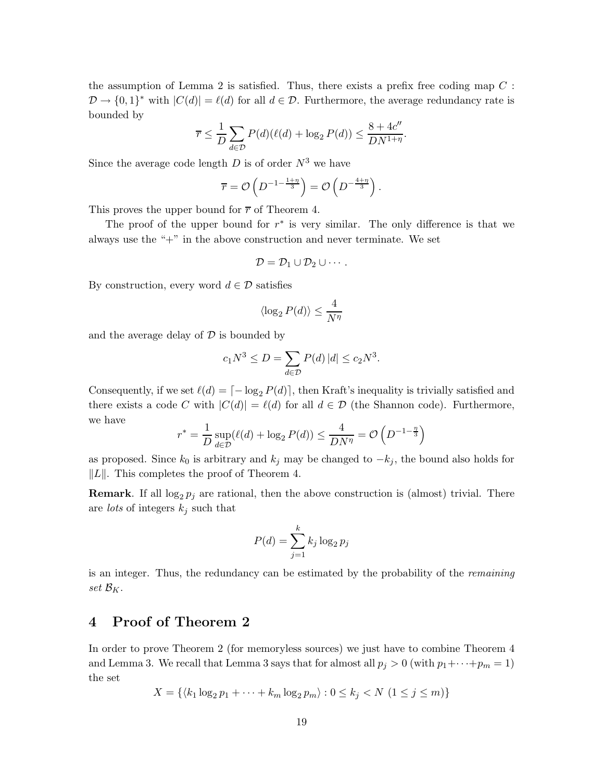the assumption of Lemma 2 is satisfied. Thus, there exists a prefix free coding map  $C$ :  $\mathcal{D} \to \{0, 1\}^*$  with  $|C(d)| = \ell(d)$  for all  $d \in \mathcal{D}$ . Furthermore, the average redundancy rate is bounded by

$$
\overline{r} \le \frac{1}{D} \sum_{d \in \mathcal{D}} P(d) (\ell(d) + \log_2 P(d)) \le \frac{8 + 4c''}{DN^{1+\eta}}.
$$

Since the average code length  $D$  is of order  $N^3$  we have

$$
\overline{r} = \mathcal{O}\left(D^{-1-\frac{1+\eta}{3}}\right) = \mathcal{O}\left(D^{-\frac{4+\eta}{3}}\right).
$$

This proves the upper bound for  $\bar{r}$  of Theorem 4.

The proof of the upper bound for  $r^*$  is very similar. The only difference is that we always use the "+" in the above construction and never terminate. We set

$$
\mathcal{D} = \mathcal{D}_1 \cup \mathcal{D}_2 \cup \cdots.
$$

By construction, every word  $d \in \mathcal{D}$  satisfies

$$
\langle \log_2 P(d)\rangle \leq \frac{4}{N^{\eta}}
$$

and the average delay of  $D$  is bounded by

$$
c_1 N^3 \le D = \sum_{d \in \mathcal{D}} P(d) |d| \le c_2 N^3.
$$

Consequently, if we set  $\ell(d) = \lceil -\log_2 P(d) \rceil$ , then Kraft's inequality is trivially satisfied and there exists a code C with  $|C(d)| = \ell(d)$  for all  $d \in \mathcal{D}$  (the Shannon code). Furthermore, we have

$$
r^* = \frac{1}{D} \sup_{d \in \mathcal{D}} (\ell(d) + \log_2 P(d)) \le \frac{4}{DN^{\eta}} = \mathcal{O}\left(D^{-1 - \frac{\eta}{3}}\right)
$$

as proposed. Since  $k_0$  is arbitrary and  $k_j$  may be changed to  $-k_j$ , the bound also holds for  $||L||$ . This completes the proof of Theorem 4.

**Remark**. If all  $\log_2 p_j$  are rational, then the above construction is (almost) trivial. There are *lots* of integers  $k_j$  such that

$$
P(d) = \sum_{j=1}^{k} k_j \log_2 p_j
$$

is an integer. Thus, the redundancy can be estimated by the probability of the *remaining set*  $\mathcal{B}_K$ .

## **4 Proof of Theorem 2**

In order to prove Theorem 2 (for memoryless sources) we just have to combine Theorem 4 and Lemma 3. We recall that Lemma 3 says that for almost all  $p_j > 0$  (with  $p_1 + \cdots + p_m = 1$ ) the set

$$
X = \{ \langle k_1 \log_2 p_1 + \dots + k_m \log_2 p_m \rangle : 0 \le k_j < N \ (1 \le j \le m) \}
$$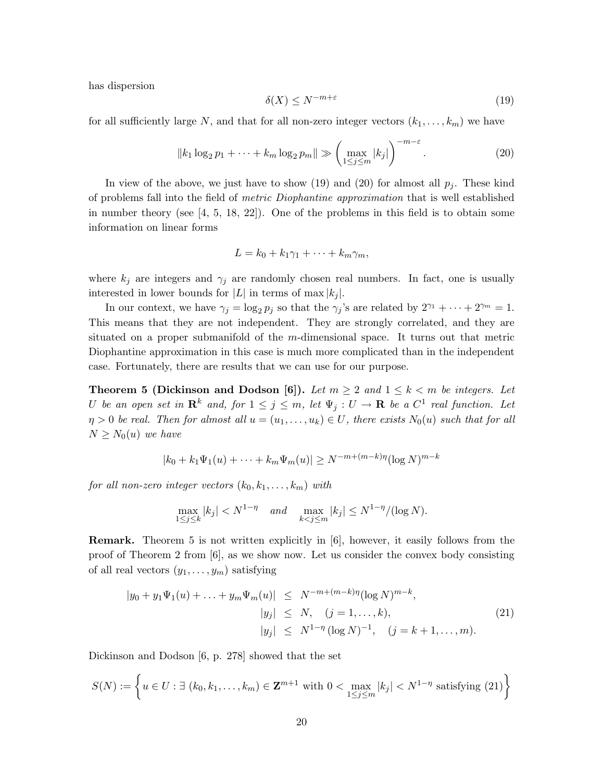has dispersion

$$
\delta(X) \le N^{-m+\varepsilon} \tag{19}
$$

for all sufficiently large N, and that for all non-zero integer vectors  $(k_1,...,k_m)$  we have

$$
||k_1 \log_2 p_1 + \dots + k_m \log_2 p_m|| \gg \left(\max_{1 \le j \le m} |k_j|\right)^{-m-\varepsilon}.
$$
 (20)

In view of the above, we just have to show (19) and (20) for almost all  $p_j$ . These kind of problems fall into the field of *metric Diophantine approximation* that is well established in number theory (see [4, 5, 18, 22]). One of the problems in this field is to obtain some information on linear forms

$$
L=k_0+k_1\gamma_1+\cdots+k_m\gamma_m,
$$

where  $k_j$  are integers and  $\gamma_j$  are randomly chosen real numbers. In fact, one is usually interested in lower bounds for  $|L|$  in terms of max  $|k_j|$ .

In our context, we have  $\gamma_j = \log_2 p_j$  so that the  $\gamma_j$ 's are related by  $2^{\gamma_1} + \cdots + 2^{\gamma_m} = 1$ . This means that they are not independent. They are strongly correlated, and they are situated on a proper submanifold of the m-dimensional space. It turns out that metric Diophantine approximation in this case is much more complicated than in the independent case. Fortunately, there are results that we can use for our purpose.

**Theorem 5 (Dickinson and Dodson [6]).** *Let*  $m \geq 2$  *and*  $1 \leq k \leq m$  *be integers. Let* U be an open set in  $\mathbb{R}^k$  and, for  $1 \leq j \leq m$ , let  $\Psi_j : U \to \mathbb{R}$  be a  $C^1$  real function. Let  $\eta > 0$  be real. Then for almost all  $u = (u_1, \ldots, u_k) \in U$ , there exists  $N_0(u)$  such that for all  $N \geq N_0(u)$  *we have* 

$$
|k_0 + k_1 \Psi_1(u) + \dots + k_m \Psi_m(u)| \ge N^{-m + (m-k)\eta} (\log N)^{m-k}
$$

*for all non-zero integer vectors*  $(k_0, k_1, \ldots, k_m)$  *with* 

$$
\max_{1 \le j \le k} |k_j| < N^{1-\eta} \quad \text{and} \quad \max_{k < j \le m} |k_j| \le N^{1-\eta} / (\log N).
$$

**Remark.** Theorem 5 is not written explicitly in [6], however, it easily follows from the proof of Theorem 2 from [6], as we show now. Let us consider the convex body consisting of all real vectors  $(y_1, \ldots, y_m)$  satisfying

$$
|y_0 + y_1 \Psi_1(u) + \dots + y_m \Psi_m(u)| \le N^{-m + (m-k)\eta} (\log N)^{m-k},
$$
  
\n
$$
|y_j| \le N, \quad (j = 1, \dots, k),
$$
  
\n
$$
|y_j| \le N^{1-\eta} (\log N)^{-1}, \quad (j = k+1, \dots, m).
$$
\n(21)

Dickinson and Dodson [6, p. 278] showed that the set

$$
S(N) := \left\{ u \in U : \exists (k_0, k_1, \dots, k_m) \in \mathbf{Z}^{m+1} \text{ with } 0 < \max_{1 \le j \le m} |k_j| < N^{1-\eta} \text{ satisfying (21)} \right\}
$$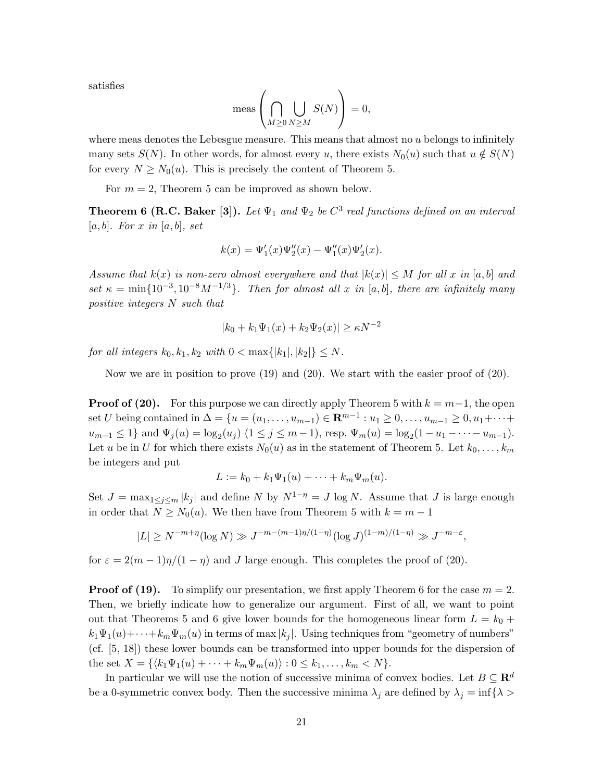satisfies

$$
\text{meas}\left(\bigcap_{M\geq 0}\bigcup_{N\geq M}S(N)\right)=0,
$$

where meas denotes the Lebesgue measure. This means that almost no  $u$  belongs to infinitely many sets  $S(N)$ . In other words, for almost every u, there exists  $N_0(u)$  such that  $u \notin S(N)$ for every  $N \geq N_0(u)$ . This is precisely the content of Theorem 5.

For  $m = 2$ , Theorem 5 can be improved as shown below.

**Theorem 6 (R.C. Baker [3]).** Let  $\Psi_1$  and  $\Psi_2$  be  $C^3$  real functions defined on an interval [a, b]*. For* x *in* [a, b]*, set*

$$
k(x) = \Psi'_1(x)\Psi''_2(x) - \Psi''_1(x)\Psi'_2(x).
$$

*Assume that*  $k(x)$  *is non-zero almost everywhere and that*  $|k(x)| \leq M$  *for all* x *in* [a, b] *and set*  $\kappa = \min\{10^{-3}, 10^{-8}M^{-1/3}\}$ *. Then for almost all* x *in* [a, b]*, there are infinitely many positive integers* N *such that*

$$
|k_0 + k_1 \Psi_1(x) + k_2 \Psi_2(x)| \ge \kappa N^{-2}
$$

*for all integers*  $k_0, k_1, k_2$  *with*  $0 < \max\{|k_1|, |k_2|\} \leq N$ *.* 

Now we are in position to prove  $(19)$  and  $(20)$ . We start with the easier proof of  $(20)$ .

**Proof of (20).** For this purpose we can directly apply Theorem 5 with  $k = m-1$ , the open set *U* being contained in  $\Delta = \{u = (u_1, \ldots, u_{m-1}) \in \mathbb{R}^{m-1} : u_1 \geq 0, \ldots, u_{m-1} \geq 0, u_1 + \cdots + u_m\}$  $u_{m-1} \leq 1$  and  $\Psi_j(u) = \log_2(u_j)$   $(1 \leq j \leq m-1)$ , resp.  $\Psi_m(u) = \log_2(1-u_1-\cdots-u_{m-1})$ . Let u be in U for which there exists  $N_0(u)$  as in the statement of Theorem 5. Let  $k_0,\ldots,k_m$ be integers and put

$$
L := k_0 + k_1 \Psi_1(u) + \cdots + k_m \Psi_m(u).
$$

Set  $J = \max_{1 \leq j \leq m} |k_j|$  and define N by  $N^{1-\eta} = J \log N$ . Assume that J is large enough in order that  $N \geq N_0(u)$ . We then have from Theorem 5 with  $k = m - 1$ 

$$
|L| \ge N^{-m+\eta} (\log N) \gg J^{-m-(m-1)\eta/(1-\eta)} (\log J)^{(1-m)/(1-\eta)} \gg J^{-m-\varepsilon},
$$

for  $\varepsilon = 2(m-1)\eta/(1-\eta)$  and J large enough. This completes the proof of (20).

**Proof of (19).** To simplify our presentation, we first apply Theorem 6 for the case  $m = 2$ . Then, we briefly indicate how to generalize our argument. First of all, we want to point out that Theorems 5 and 6 give lower bounds for the homogeneous linear form  $L = k_0 +$  $k_1\Psi_1(u)+\cdots+k_m\Psi_m(u)$  in terms of max  $|k_j|$ . Using techniques from "geometry of numbers" (cf. [5, 18]) these lower bounds can be transformed into upper bounds for the dispersion of the set  $X = \{ \langle k_1 \Psi_1(u) + \cdots + k_m \Psi_m(u) \rangle : 0 \leq k_1, \ldots, k_m < N \}.$ 

In particular we will use the notion of successive minima of convex bodies. Let  $B \subseteq \mathbb{R}^d$ be a 0-symmetric convex body. Then the successive minima  $\lambda_j$  are defined by  $\lambda_j = \inf \{ \lambda >$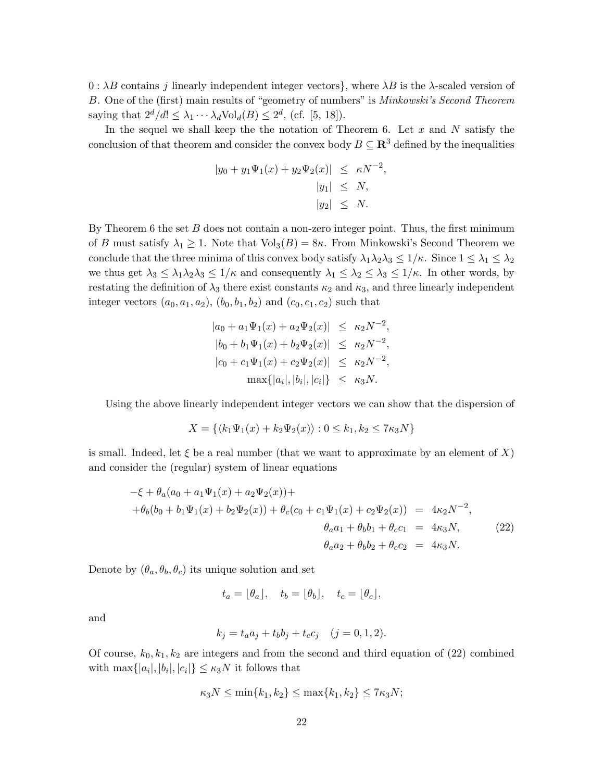$0 : \lambda B$  contains j linearly independent integer vectors}, where  $\lambda B$  is the  $\lambda$ -scaled version of B. One of the (first) main results of "geometry of numbers" is *Minkowski's Second Theorem* saying that  $2^d/d! \leq \lambda_1 \cdots \lambda_d \text{Vol}_d(B) \leq 2^d$ , (cf. [5, 18]).

In the sequel we shall keep the the notation of Theorem 6. Let  $x$  and  $N$  satisfy the conclusion of that theorem and consider the convex body  $B \subseteq \mathbb{R}^3$  defined by the inequalities

$$
|y_0 + y_1 \Psi_1(x) + y_2 \Psi_2(x)| \le \kappa N^{-2},
$$
  
\n $|y_1| \le N,$   
\n $|y_2| \le N.$ 

By Theorem 6 the set  $B$  does not contain a non-zero integer point. Thus, the first minimum of B must satisfy  $\lambda_1 \geq 1$ . Note that  $Vol_3(B)=8\kappa$ . From Minkowski's Second Theorem we conclude that the three minima of this convex body satisfy  $\lambda_1\lambda_2\lambda_3 \leq 1/\kappa$ . Since  $1 \leq \lambda_1 \leq \lambda_2$ we thus get  $\lambda_3 \leq \lambda_1 \lambda_2 \lambda_3 \leq 1/\kappa$  and consequently  $\lambda_1 \leq \lambda_2 \leq \lambda_3 \leq 1/\kappa$ . In other words, by restating the definition of  $\lambda_3$  there exist constants  $\kappa_2$  and  $\kappa_3$ , and three linearly independent integer vectors  $(a_0, a_1, a_2), (b_0, b_1, b_2)$  and  $(c_0, c_1, c_2)$  such that

$$
|a_0 + a_1 \Psi_1(x) + a_2 \Psi_2(x)| \le \kappa_2 N^{-2},
$$
  
\n
$$
|b_0 + b_1 \Psi_1(x) + b_2 \Psi_2(x)| \le \kappa_2 N^{-2},
$$
  
\n
$$
|c_0 + c_1 \Psi_1(x) + c_2 \Psi_2(x)| \le \kappa_2 N^{-2},
$$
  
\n
$$
\max\{|a_i|, |b_i|, |c_i|\} \le \kappa_3 N.
$$

Using the above linearly independent integer vectors we can show that the dispersion of

$$
X = \{ \langle k_1 \Psi_1(x) + k_2 \Psi_2(x) \rangle : 0 \le k_1, k_2 \le 7\kappa_3 N \}
$$

is small. Indeed, let  $\xi$  be a real number (that we want to approximate by an element of X) and consider the (regular) system of linear equations

$$
-\xi + \theta_a(a_0 + a_1\Psi_1(x) + a_2\Psi_2(x)) +
$$
  
+ 
$$
\theta_b(b_0 + b_1\Psi_1(x) + b_2\Psi_2(x)) + \theta_c(c_0 + c_1\Psi_1(x) + c_2\Psi_2(x)) = 4\kappa_2 N^{-2},
$$
  

$$
\theta_a a_1 + \theta_b b_1 + \theta_c c_1 = 4\kappa_3 N,
$$
  

$$
\theta_a a_2 + \theta_b b_2 + \theta_c c_2 = 4\kappa_3 N.
$$
 (22)

Denote by  $(\theta_a, \theta_b, \theta_c)$  its unique solution and set

$$
t_a = \lfloor \theta_a \rfloor, \quad t_b = \lfloor \theta_b \rfloor, \quad t_c = \lfloor \theta_c \rfloor,
$$

and

$$
k_j = t_a a_j + t_b b_j + t_c c_j \quad (j = 0, 1, 2).
$$

Of course,  $k_0, k_1, k_2$  are integers and from the second and third equation of (22) combined with  $\max\{|a_i|, |b_i|, |c_i|\} \leq \kappa_3 N$  it follows that

$$
\kappa_3 N \le \min\{k_1, k_2\} \le \max\{k_1, k_2\} \le 7\kappa_3 N;
$$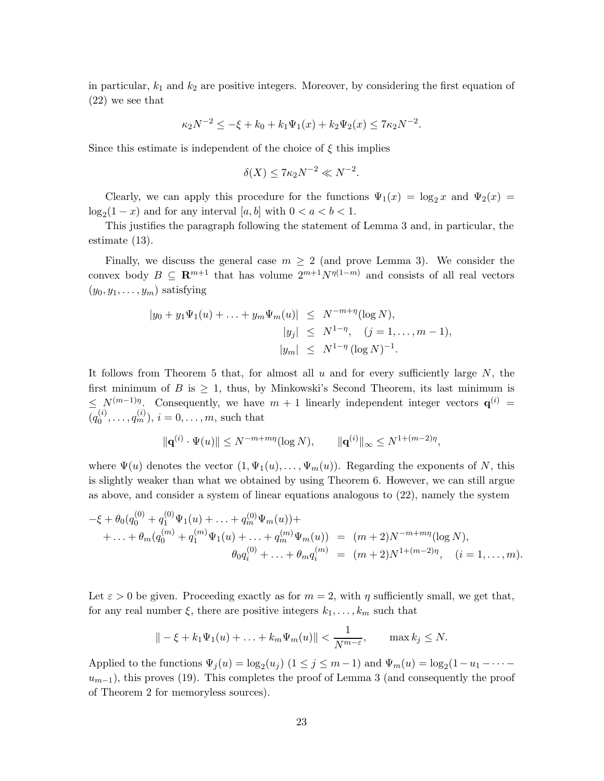in particular,  $k_1$  and  $k_2$  are positive integers. Moreover, by considering the first equation of (22) we see that

$$
\kappa_2 N^{-2} \le -\xi + k_0 + k_1 \Psi_1(x) + k_2 \Psi_2(x) \le 7\kappa_2 N^{-2}.
$$

Since this estimate is independent of the choice of  $\xi$  this implies

$$
\delta(X) \le 7\kappa_2 N^{-2} \ll N^{-2}.
$$

Clearly, we can apply this procedure for the functions  $\Psi_1(x) = \log_2 x$  and  $\Psi_2(x) =$  $\log_2(1-x)$  and for any interval  $[a, b]$  with  $0 < a < b < 1$ .<br>This institute the non-map of electronic the statement of

This justifies the paragraph following the statement of Lemma 3 and, in particular, the estimate (13).

Finally, we discuss the general case  $m \geq 2$  (and prove Lemma 3). We consider the convex body  $B \subseteq \mathbb{R}^{m+1}$  that has volume  $2^{m+1}N^{\eta(1-m)}$  and consists of all real vectors  $(y_0, y_1, \ldots, y_m)$  satisfying

$$
|y_0 + y_1 \Psi_1(u) + \dots + y_m \Psi_m(u)| \le N^{-m+\eta} (\log N),
$$
  
\n
$$
|y_j| \le N^{1-\eta}, \quad (j = 1, \dots, m-1),
$$
  
\n
$$
|y_m| \le N^{1-\eta} (\log N)^{-1}.
$$

It follows from Theorem 5 that, for almost all  $u$  and for every sufficiently large  $N$ , the first minimum of B is  $\geq$  1, thus, by Minkowski's Second Theorem, its last minimum is  $\leq N^{(m-1)\eta}$ . Consequently, we have  $m+1$  linearly independent integer vectors  $\mathbf{q}^{(i)}$  =  $\overline{(q_0^{(i)},...,q_m^{(i)})}, i = 0,...,m$ , such that

$$
\|\mathbf{q}^{(i)}\cdot\Psi(u)\| \le N^{-m+mq}(\log N), \qquad \|\mathbf{q}^{(i)}\|_{\infty} \le N^{1+(m-2)\eta},
$$

where  $\Psi(u)$  denotes the vector  $(1, \Psi_1(u), \dots, \Psi_m(u))$ . Regarding the exponents of N, this is slightly weaker than what we obtained by using Theorem 6. However, we can still argue as above, and consider a system of linear equations analogous to (22), namely the system

$$
-\xi + \theta_0(q_0^{(0)} + q_1^{(0)}\Psi_1(u) + \dots + q_m^{(0)}\Psi_m(u)) ++ \dots + \theta_m(q_0^{(m)} + q_1^{(m)}\Psi_1(u) + \dots + q_m^{(m)}\Psi_m(u)) = (m+2)N^{-m+m\eta}(\log N),\n\theta_0q_i^{(0)} + \dots + \theta_mq_i^{(m)} = (m+2)N^{1+(m-2)\eta}, \quad (i = 1, \dots, m).
$$

Let  $\varepsilon > 0$  be given. Proceeding exactly as for  $m = 2$ , with  $\eta$  sufficiently small, we get that, for any real number  $\xi$ , there are positive integers  $k_1, \ldots, k_m$  such that

$$
\| - \xi + k_1 \Psi_1(u) + \ldots + k_m \Psi_m(u) \| < \frac{1}{N^{m-\varepsilon}}, \qquad \max k_j \le N.
$$

Applied to the functions  $\Psi_j(u) = \log_2(u_j)$   $(1 \le j \le m-1)$  and  $\Psi_m(u) = \log_2(1-u_1-\cdots-u_{m-1})$  this process (10). This completes the proof of Lamma 2 (and consequently the proof  $u_{m-1}$ ), this proves (19). This completes the proof of Lemma 3 (and consequently the proof of Theorem 2 for memoryless sources).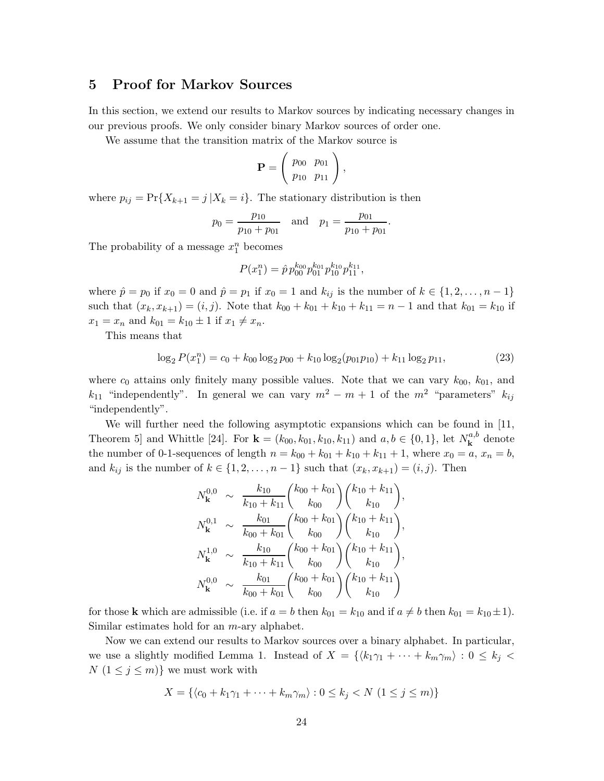### **5 Proof for Markov Sources**

In this section, we extend our results to Markov sources by indicating necessary changes in our previous proofs. We only consider binary Markov sources of order one.

We assume that the transition matrix of the Markov source is

$$
\mathbf{P} = \left( \begin{array}{cc} p_{00} & p_{01} \\ p_{10} & p_{11} \end{array} \right),
$$

where  $p_{ij} = Pr{X_{k+1} = j | X_k = i}.$  The stationary distribution is then

$$
p_0 = \frac{p_{10}}{p_{10} + p_{01}}
$$
 and  $p_1 = \frac{p_{01}}{p_{10} + p_{01}}$ .

The probability of a message  $x_1^n$  becomes

$$
P(x_1^n) = \hat{p} p_{00}^{k_{00}} p_{01}^{k_{01}} p_{10}^{k_{10}} p_{11}^{k_{11}},
$$

where  $\hat{p} = p_0$  if  $x_0 = 0$  and  $\hat{p} = p_1$  if  $x_0 = 1$  and  $k_{ij}$  is the number of  $k \in \{1, 2, \ldots, n-1\}$ such that  $(x_k, x_{k+1}) = (i, j)$ . Note that  $k_{00} + k_{01} + k_{10} + k_{11} = n - 1$  and that  $k_{01} = k_{10}$  if  $x_1 = x_n$  and  $k_{01} = k_{10} \pm 1$  if  $x_1 \neq x_n$ .

This means that

$$
\log_2 P(x_1^n) = c_0 + k_{00} \log_2 p_{00} + k_{10} \log_2 (p_{01}p_{10}) + k_{11} \log_2 p_{11},
$$
\n(23)

where  $c_0$  attains only finitely many possible values. Note that we can vary  $k_{00}$ ,  $k_{01}$ , and  $k_{11}$  "independently". In general we can vary  $m^2 - m + 1$  of the  $m^2$  "parameters"  $k_{ij}$ "independently".

We will further need the following asymptotic expansions which can be found in [11, Theorem 5] and Whittle [24]. For  $\mathbf{k} = (k_{00}, k_{01}, k_{10}, k_{11})$  and  $a, b \in \{0, 1\}$ , let  $N_{\mathbf{k}}^{a,b}$  denote the number of 0-1-sequences of length  $n = k_{00} + k_{01} + k_{10} + k_{11} + 1$ , where  $x_0 = a$ ,  $x_n = b$ , and  $k_{ij}$  is the number of  $k \in \{1, 2, \ldots, n-1\}$  such that  $(x_k, x_{k+1}) = (i, j)$ . Then

$$
N_{\mathbf{k}}^{0,0} \sim \frac{k_{10}}{k_{10} + k_{11}} {k_{00} + k_{01} \choose k_{00}} {k_{10} + k_{11} \choose k_{10}},
$$
  
\n
$$
N_{\mathbf{k}}^{0,1} \sim \frac{k_{01}}{k_{00} + k_{01}} {k_{00} + k_{01} \choose k_{00}} {k_{10} + k_{11} \choose k_{10}},
$$
  
\n
$$
N_{\mathbf{k}}^{1,0} \sim \frac{k_{10}}{k_{10} + k_{11}} {k_{00} + k_{01} \choose k_{00}} {k_{10} + k_{11} \choose k_{10}},
$$
  
\n
$$
N_{\mathbf{k}}^{0,0} \sim \frac{k_{01}}{k_{00} + k_{01}} {k_{00} + k_{01} \choose k_{00}} {k_{10} + k_{11} \choose k_{10}}
$$

for those **k** which are admissible (i.e. if  $a = b$  then  $k_{01} = k_{10}$  and if  $a \neq b$  then  $k_{01} = k_{10} \pm 1$ ). Similar estimates hold for an  $m$ -ary alphabet.

Now we can extend our results to Markov sources over a binary alphabet. In particular, we use a slightly modified Lemma 1. Instead of  $X = \{ \langle k_1 \gamma_1 + \cdots + k_m \gamma_m \rangle : 0 \leq k_i \leq k_i \}$  $N(1 \leq j \leq m)$ } we must work with

$$
X = \{ \langle c_0 + k_1 \gamma_1 + \dots + k_m \gamma_m \rangle : 0 \le k_j < N \ (1 \le j \le m) \}
$$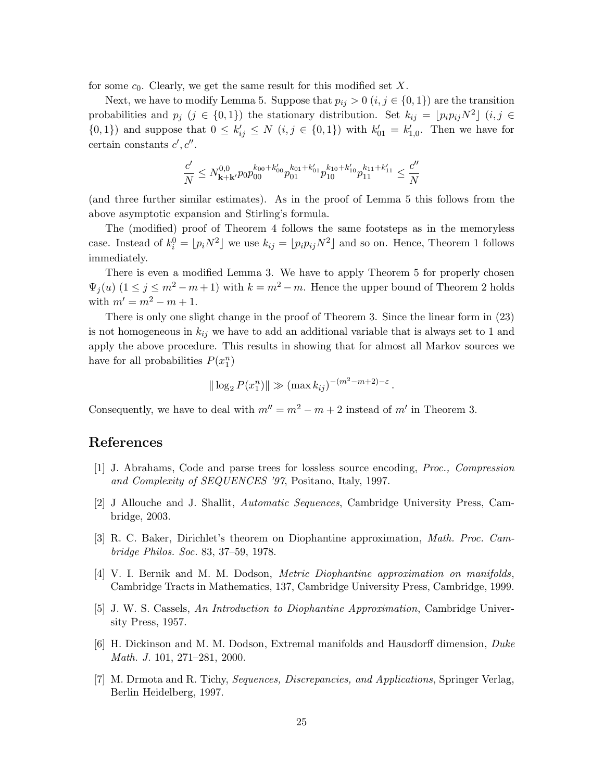for some  $c_0$ . Clearly, we get the same result for this modified set X.

Next, we have to modify Lemma 5. Suppose that  $p_{ij} > 0$   $(i, j \in \{0, 1\})$  are the transition probabilities and  $p_j$   $(j \in \{0,1\})$  the stationary distribution. Set  $k_{ij} = [p_i p_{ij} N^2]$   $(i, j \in$  $\{(0,1)\}\)$  and suppose that  $0 \le k'_{ij} \le N$   $(i, j \in \{0,1\})$  with  $k'_{01} = k'_{1,0}$ . Then we have for certain constants  $c', c''$ .

$$
\frac{c'}{N} \le N_{\mathbf{k}+\mathbf{k}'}^{0,0} p_0 p_{00}^{k_{00}+k'_{00}} p_{01}^{k_{01}+k'_{01}} p_{10}^{k_{10}+k'_{10}} p_{11}^{k_{11}+k'_{11}} \le \frac{c''}{N}
$$

(and three further similar estimates). As in the proof of Lemma 5 this follows from the above asymptotic expansion and Stirling's formula.

The (modified) proof of Theorem 4 follows the same footsteps as in the memoryless case. Instead of  $k_i^0 = [p_i N^2]$  we use  $k_{ij} = [p_i p_{ij} N^2]$  and so on. Hence, Theorem 1 follows immediately.

There is even a modified Lemma 3. We have to apply Theorem 5 for properly chosen  $\Psi_i(u)$   $(1 \leq j \leq m^2 - m + 1)$  with  $k = m^2 - m$ . Hence the upper bound of Theorem 2 holds with  $m' = m^2 - m + 1$ .

There is only one slight change in the proof of Theorem 3. Since the linear form in (23) is not homogeneous in  $k_{ij}$  we have to add an additional variable that is always set to 1 and apply the above procedure. This results in showing that for almost all Markov sources we have for all probabilities  $P(x_1^n)$ 

$$
\|\log_2 P(x_1^n)\| \gg (\max k_{ij})^{-(m^2 - m + 2) - \varepsilon}.
$$

Consequently, we have to deal with  $m'' = m^2 - m + 2$  instead of m' in Theorem 3.

### **References**

- [1] J. Abrahams, Code and parse trees for lossless source encoding, *Proc., Compression and Complexity of SEQUENCES '97*, Positano, Italy, 1997.
- [2] J Allouche and J. Shallit, *Automatic Sequences*, Cambridge University Press, Cambridge, 2003.
- [3] R. C. Baker, Dirichlet's theorem on Diophantine approximation, *Math. Proc. Cambridge Philos. Soc.* 83, 37–59, 1978.
- [4] V. I. Bernik and M. M. Dodson, *Metric Diophantine approximation on manifolds*, Cambridge Tracts in Mathematics, 137, Cambridge University Press, Cambridge, 1999.
- [5] J. W. S. Cassels, *An Introduction to Diophantine Approximation*, Cambridge University Press, 1957.
- [6] H. Dickinson and M. M. Dodson, Extremal manifolds and Hausdorff dimension, *Duke Math. J.* 101, 271–281, 2000.
- [7] M. Drmota and R. Tichy, *Sequences, Discrepancies, and Applications*, Springer Verlag, Berlin Heidelberg, 1997.